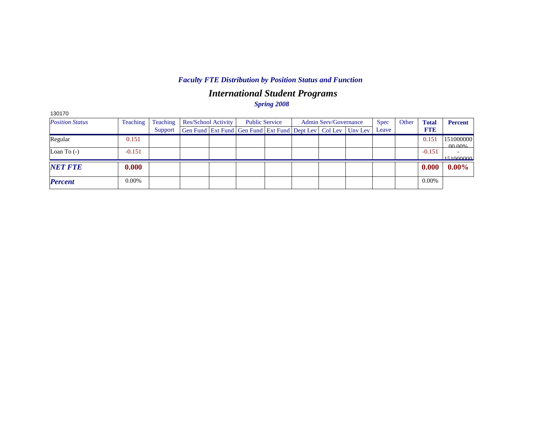# *International Student Programs*

*Spring 2008*

| 130170                 |          |          |                                                                          |                       |                              |             |       |              |                     |
|------------------------|----------|----------|--------------------------------------------------------------------------|-----------------------|------------------------------|-------------|-------|--------------|---------------------|
| <b>Position Status</b> | Teaching | Teaching | Res/School Activity                                                      | <b>Public Service</b> | <b>Admin Serv/Governance</b> | <b>Spec</b> | Other | <b>Total</b> | <b>Percent</b>      |
|                        |          | Support  | Gen Fund   Ext Fund   Gen Fund   Ext Fund   Dept Lev   Col Lev   Unv Lev |                       |                              | Leave       |       | <b>FTE</b>   |                     |
| Regular                | 0.151    |          |                                                                          |                       |                              |             |       | 0.151        | 151000000<br>00.00% |
| Loan To $(-)$          | $-0.151$ |          |                                                                          |                       |                              |             |       | $-0.151$     | 151000000           |
| <b>NET FTE</b>         | 0.000    |          |                                                                          |                       |                              |             |       | 0.000        | $0.00\%$            |
| <b>Percent</b>         | 0.00%    |          |                                                                          |                       |                              |             |       | $0.00\%$     |                     |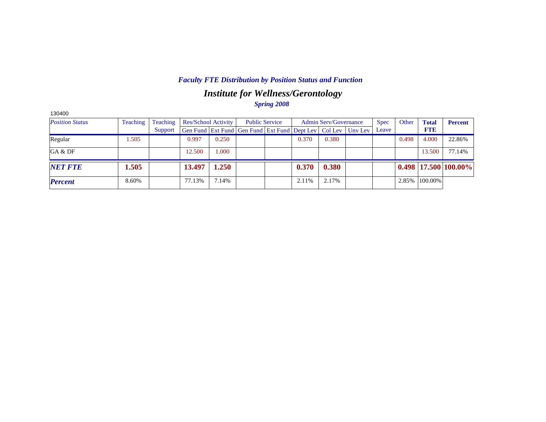## *Institute for Wellness/Gerontology*

*Spring 2008*

| 130400                 |          |          |                            |       |                                                      |       |                              |         |             |       |              |                            |
|------------------------|----------|----------|----------------------------|-------|------------------------------------------------------|-------|------------------------------|---------|-------------|-------|--------------|----------------------------|
| <b>Position Status</b> | Teaching | Teaching | <b>Res/School Activity</b> |       | <b>Public Service</b>                                |       | <b>Admin Serv/Governance</b> |         | <b>Spec</b> | Other | <b>Total</b> | <b>Percent</b>             |
|                        |          | Support  |                            |       | Gen Fund Ext Fund Gen Fund Ext Fund Dept Lev Col Lev |       |                              | Unv Lev | Leave       |       | <b>FTE</b>   |                            |
| Regular                | 1.505    |          | 0.997                      | 0.250 |                                                      | 0.370 | 0.380                        |         |             | 0.498 | 4.000        | 22.86%                     |
| GA & DF                |          |          | 12.500                     | 000.1 |                                                      |       |                              |         |             |       | 13.500       | 77.14%                     |
| <b>NET FTE</b>         | 1.505    |          | 13.497                     | 1.250 |                                                      | 0.370 | 0.380                        |         |             |       |              | $0.498$   17.500   100.00% |
| <b>Percent</b>         | 8.60%    |          | 77.13%                     | 7.14% |                                                      | 2.11% | 2.17%                        |         |             | 2.85% | 100.00%      |                            |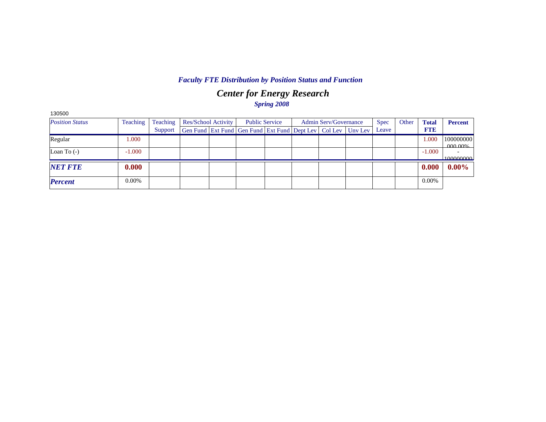## *Center for Energy Research Spring 2008*

| 130500                 |          |          |                     |                                                                          |  |                              |             |       |              |                |
|------------------------|----------|----------|---------------------|--------------------------------------------------------------------------|--|------------------------------|-------------|-------|--------------|----------------|
| <b>Position Status</b> | Teaching | Teaching | Res/School Activity | <b>Public Service</b>                                                    |  | <b>Admin Serv/Governance</b> | <b>Spec</b> | Other | <b>Total</b> | <b>Percent</b> |
|                        |          | Support  |                     | Gen Fund   Ext Fund   Gen Fund   Ext Fund   Dept Lev   Col Lev   Unv Lev |  |                              | Leave       |       | <b>FTE</b>   |                |
| Regular                | 1.000    |          |                     |                                                                          |  |                              |             |       | 1.000        | 100000000      |
| Loan To $(-)$          | $-1.000$ |          |                     |                                                                          |  |                              |             |       | $-1.000$     | <u>MAO NOV</u> |
|                        |          |          |                     |                                                                          |  |                              |             |       |              | 100000000      |
| <b>NET FTE</b>         | 0.000    |          |                     |                                                                          |  |                              |             |       | 0.000        | $0.00\%$       |
|                        |          |          |                     |                                                                          |  |                              |             |       |              |                |
| <b>Percent</b>         | 0.00%    |          |                     |                                                                          |  |                              |             |       | $0.00\%$     |                |
|                        |          |          |                     |                                                                          |  |                              |             |       |              |                |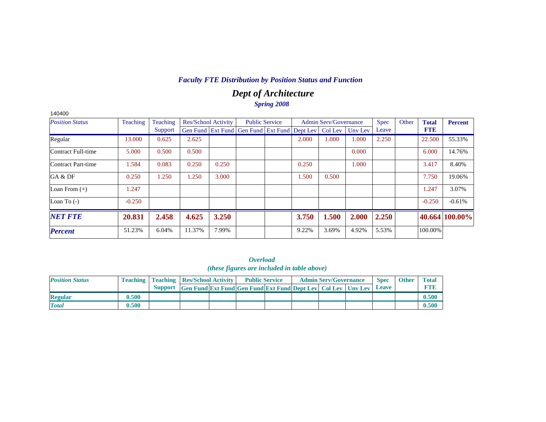## *Dept of Architecture Spring 2008*

| 140400                 |          |          |                            |       |                                                                |                       |       |                              |         |             |       |              |                |
|------------------------|----------|----------|----------------------------|-------|----------------------------------------------------------------|-----------------------|-------|------------------------------|---------|-------------|-------|--------------|----------------|
| <b>Position Status</b> | Teaching | Teaching | <b>Res/School Activity</b> |       |                                                                | <b>Public Service</b> |       | <b>Admin Serv/Governance</b> |         | <b>Spec</b> | Other | <b>Total</b> | <b>Percent</b> |
|                        |          | Support  |                            |       | Gen Fund   Ext Fund   Gen Fund   Ext Fund   Dept Lev   Col Lev |                       |       |                              | Unv Lev | Leave       |       | <b>FTE</b>   |                |
| Regular                | 13.000   | 0.625    | 2.625                      |       |                                                                |                       | 2.000 | 1.000                        | 1.000   | 2.250       |       | 22.500       | 55.33%         |
| Contract Full-time     | 5.000    | 0.500    | 0.500                      |       |                                                                |                       |       |                              | 0.000   |             |       | 6.000        | 14.76%         |
| Contract Part-time     | 1.584    | 0.083    | 0.250                      | 0.250 |                                                                |                       | 0.250 |                              | 1.000   |             |       | 3.417        | 8.40%          |
| GA & DF                | 0.250    | 1.250    | .250                       | 3.000 |                                                                |                       | 1.500 | 0.500                        |         |             |       | 7.750        | 19.06%         |
| Loan From $(+)$        | 1.247    |          |                            |       |                                                                |                       |       |                              |         |             |       | 1.247        | 3.07%          |
| Loan To $(-)$          | $-0.250$ |          |                            |       |                                                                |                       |       |                              |         |             |       | $-0.250$     | $-0.61%$       |
| <b>NET FTE</b>         | 20.831   | 2.458    | 4.625                      | 3.250 |                                                                |                       | 3.750 | 1.500                        | 2.000   | 2.250       |       |              | 40.664 100.00% |
| <b>Percent</b>         | 51.23%   | 6.04%    | 11.37%                     | 7.99% |                                                                |                       | 9.22% | 3.69%                        | 4.92%   | 5.53%       |       | 100.00%      |                |

*Overload (these figures are included in table above)*

| <b>Position Status</b> |       | <b>Teaching   Teaching   Res/School Activity  </b> |                                                                      | <b>Public Service</b> |  | <b>Admin Serv/Governance</b> | <b>Spec</b> | <b>Other</b> | <b>Total</b> |
|------------------------|-------|----------------------------------------------------|----------------------------------------------------------------------|-----------------------|--|------------------------------|-------------|--------------|--------------|
|                        |       |                                                    | Support Gen Fund Ext Fund Gen Fund Ext Fund Dept Lev Col Lev Unv Lev |                       |  |                              | Leave       |              |              |
| <b>Regular</b>         | 0.500 |                                                    |                                                                      |                       |  |                              |             |              | 0.500        |
| <b>Total</b>           | 0.500 |                                                    |                                                                      |                       |  |                              |             |              | 0.500        |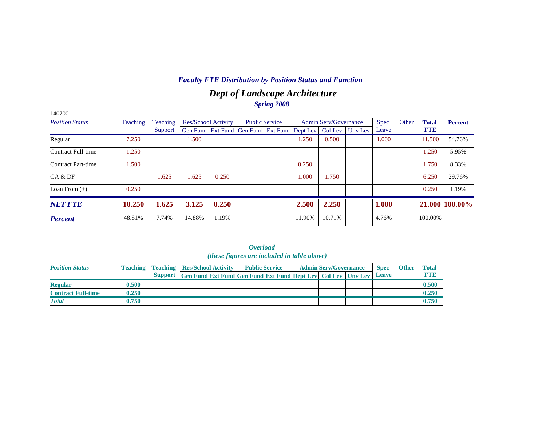## *Dept of Landscape Architecture Spring 2008*

| 140700                 |          |          |                            |       |                                                                |        |                              |         |             |       |              |                |
|------------------------|----------|----------|----------------------------|-------|----------------------------------------------------------------|--------|------------------------------|---------|-------------|-------|--------------|----------------|
| <b>Position Status</b> | Teaching | Teaching | <b>Res/School Activity</b> |       | <b>Public Service</b>                                          |        | <b>Admin Serv/Governance</b> |         | <b>Spec</b> | Other | <b>Total</b> | <b>Percent</b> |
|                        |          | Support  |                            |       | Gen Fund   Ext Fund   Gen Fund   Ext Fund   Dept Lev   Col Lev |        |                              | Uny Lev | Leave       |       | <b>FTE</b>   |                |
| Regular                | 7.250    |          | 1.500                      |       |                                                                | 1.250  | 0.500                        |         | 1.000       |       | 11.500       | 54.76%         |
| Contract Full-time     | 1.250    |          |                            |       |                                                                |        |                              |         |             |       | 1.250        | 5.95%          |
| Contract Part-time     | 1.500    |          |                            |       |                                                                | 0.250  |                              |         |             |       | 1.750        | 8.33%          |
| GA & DF                |          | 1.625    | 1.625                      | 0.250 |                                                                | 1.000  | 1.750                        |         |             |       | 6.250        | 29.76%         |
| Loan From $(+)$        | 0.250    |          |                            |       |                                                                |        |                              |         |             |       | 0.250        | 1.19%          |
| <b>NET FTE</b>         | 10.250   | 1.625    | 3.125                      | 0.250 |                                                                | 2.500  | 2.250                        |         | 1.000       |       |              | 21.000 100.00% |
| <b>Percent</b>         | 48.81%   | 7.74%    | 14.88%                     | 1.19% |                                                                | 11.90% | 10.71%                       |         | 4.76%       |       | 100.00%      |                |

|                           |       |                                                    |                                                                  | <i>(these figures are included in table above)</i> |  |                              |             |              |              |
|---------------------------|-------|----------------------------------------------------|------------------------------------------------------------------|----------------------------------------------------|--|------------------------------|-------------|--------------|--------------|
| <b>Position Status</b>    |       | <b>Teaching   Teaching   Res/School Activity  </b> |                                                                  | <b>Public Service</b>                              |  | <b>Admin Serv/Governance</b> | <b>Spec</b> | <b>Other</b> | <b>Total</b> |
|                           |       | <b>Support</b>                                     | Gen Fund Ext Fund Gen Fund Ext Fund Dept Lev   Col Lev   Unv Lev |                                                    |  |                              | Leave       |              | <b>FTE</b>   |
| <b>Regular</b>            | 0.500 |                                                    |                                                                  |                                                    |  |                              |             |              | 0.500        |
| <b>Contract Full-time</b> | 0.250 |                                                    |                                                                  |                                                    |  |                              |             |              | 0.250        |
| <b>Total</b>              | 0.750 |                                                    |                                                                  |                                                    |  |                              |             |              | 0.750        |

*Overload (these figures are included in table above)*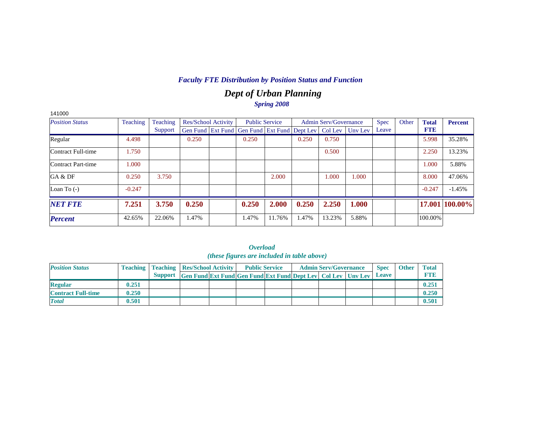## *Dept of Urban Planning Spring 2008*

| 141000                 |          |          |                            |                                                                |        |       |                              |         |             |       |              |                |
|------------------------|----------|----------|----------------------------|----------------------------------------------------------------|--------|-------|------------------------------|---------|-------------|-------|--------------|----------------|
| <b>Position Status</b> | Teaching | Teaching | <b>Res/School Activity</b> | <b>Public Service</b>                                          |        |       | <b>Admin Serv/Governance</b> |         | <b>Spec</b> | Other | <b>Total</b> | <b>Percent</b> |
|                        |          | Support  |                            | Gen Fund   Ext Fund   Gen Fund   Ext Fund   Dept Lev   Col Lev |        |       |                              | Unv Lev | Leave       |       | <b>FTE</b>   |                |
| Regular                | 4.498    |          | 0.250                      | 0.250                                                          |        | 0.250 | 0.750                        |         |             |       | 5.998        | 35.28%         |
| Contract Full-time     | 1.750    |          |                            |                                                                |        |       | 0.500                        |         |             |       | 2.250        | 13.23%         |
| Contract Part-time     | 1.000    |          |                            |                                                                |        |       |                              |         |             |       | 1.000        | 5.88%          |
| GA & DF                | 0.250    | 3.750    |                            |                                                                | 2.000  |       | 1.000                        | 1.000   |             |       | 8.000        | 47.06%         |
| Loan To $(-)$          | $-0.247$ |          |                            |                                                                |        |       |                              |         |             |       | $-0.247$     | $-1.45%$       |
| <b>NET FTE</b>         | 7.251    | 3.750    | 0.250                      | 0.250                                                          | 2.000  | 0.250 | 2.250                        | 1.000   |             |       |              | 17.001 100.00% |
| <b>Percent</b>         | 42.65%   | 22.06%   | l.47%                      | 1.47%                                                          | 11.76% | 1.47% | 13.23%                       | 5.88%   |             |       | 100.00%      |                |

|                           |       |                                                    |                                                                            | <i>(these figures are included in table above)</i> |  |                              |             |              |              |
|---------------------------|-------|----------------------------------------------------|----------------------------------------------------------------------------|----------------------------------------------------|--|------------------------------|-------------|--------------|--------------|
| <b>Position Status</b>    |       | <b>Teaching   Teaching   Res/School Activity  </b> |                                                                            | <b>Public Service</b>                              |  | <b>Admin Serv/Governance</b> | <b>Spec</b> | <b>Other</b> | <b>Total</b> |
|                           |       |                                                    | Support Gen Fund Ext Fund Gen Fund Ext Fund Dept Lev Col Lev Unv Lev Leave |                                                    |  |                              |             |              | <b>FTB</b>   |
| <b>Regular</b>            | 0.251 |                                                    |                                                                            |                                                    |  |                              |             |              | 0.251        |
| <b>Contract Full-time</b> | 0.250 |                                                    |                                                                            |                                                    |  |                              |             |              | 0.250        |
| <b>Total</b>              | 0.501 |                                                    |                                                                            |                                                    |  |                              |             |              | 0.501        |

|  | Overload                                   |  |  |
|--|--------------------------------------------|--|--|
|  | (these figures are included in table above |  |  |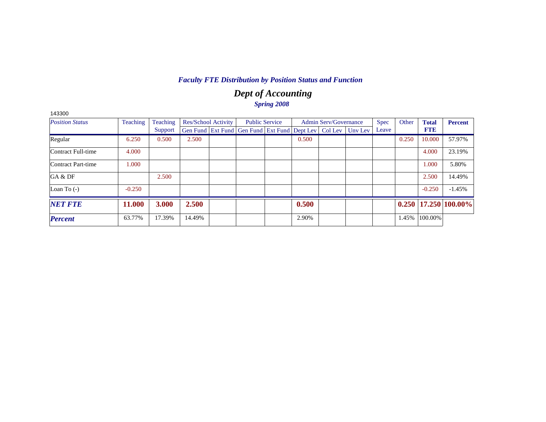## *Dept of Accounting Spring 2008*

| 143300                 |                 |          |        |                            |                                                                          |       |                              |             |       |              |                            |
|------------------------|-----------------|----------|--------|----------------------------|--------------------------------------------------------------------------|-------|------------------------------|-------------|-------|--------------|----------------------------|
| <b>Position Status</b> | <b>Teaching</b> | Teaching |        | <b>Res/School Activity</b> | <b>Public Service</b>                                                    |       | <b>Admin Serv/Governance</b> | <b>Spec</b> | Other | <b>Total</b> | <b>Percent</b>             |
|                        |                 | Support  |        |                            | Gen Fund   Ext Fund   Gen Fund   Ext Fund   Dept Lev   Col Lev   Unv Lev |       |                              | Leave       |       | <b>FTE</b>   |                            |
| Regular                | 6.250           | 0.500    | 2.500  |                            |                                                                          | 0.500 |                              |             | 0.250 | 10.000       | 57.97%                     |
| Contract Full-time     | 4.000           |          |        |                            |                                                                          |       |                              |             |       | 4.000        | 23.19%                     |
| Contract Part-time     | 1.000           |          |        |                            |                                                                          |       |                              |             |       | 1.000        | 5.80%                      |
| GA & DF                |                 | 2.500    |        |                            |                                                                          |       |                              |             |       | 2.500        | 14.49%                     |
| Loan To $(-)$          | $-0.250$        |          |        |                            |                                                                          |       |                              |             |       | $-0.250$     | $-1.45%$                   |
| <b>NET FTE</b>         | 11.000          | 3.000    | 2.500  |                            |                                                                          | 0.500 |                              |             |       |              | $0.250$   17.250   100.00% |
| <b>Percent</b>         | 63.77%          | 17.39%   | 14.49% |                            |                                                                          | 2.90% |                              |             | 1.45% | 100.00%      |                            |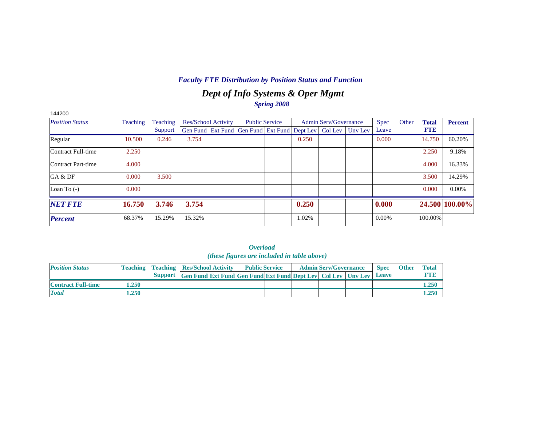## *Dept of Info Systems & Oper Mgmt Spring 2008*

| 144200                 |          |          |        |                            |                                                                |       |                              |         |             |       |              |                |
|------------------------|----------|----------|--------|----------------------------|----------------------------------------------------------------|-------|------------------------------|---------|-------------|-------|--------------|----------------|
| <b>Position Status</b> | Teaching | Teaching |        | <b>Res/School Activity</b> | <b>Public Service</b>                                          |       | <b>Admin Serv/Governance</b> |         | <b>Spec</b> | Other | <b>Total</b> | <b>Percent</b> |
|                        |          | Support  |        |                            | Gen Fund   Ext Fund   Gen Fund   Ext Fund   Dept Lev   Col Lev |       |                              | Unv Lev | Leave       |       | <b>FTE</b>   |                |
| Regular                | 10.500   | 0.246    | 3.754  |                            |                                                                | 0.250 |                              |         | 0.000       |       | 14.750       | 60.20%         |
| Contract Full-time     | 2.250    |          |        |                            |                                                                |       |                              |         |             |       | 2.250        | 9.18%          |
| Contract Part-time     | 4.000    |          |        |                            |                                                                |       |                              |         |             |       | 4.000        | 16.33%         |
| GA & DF                | 0.000    | 3.500    |        |                            |                                                                |       |                              |         |             |       | 3.500        | 14.29%         |
| Loan To $(-)$          | 0.000    |          |        |                            |                                                                |       |                              |         |             |       | 0.000        | $0.00\%$       |
| <b>NET FTE</b>         | 16.750   | 3.746    | 3.754  |                            |                                                                | 0.250 |                              |         | 0.000       |       |              | 24.500 100.00% |
| <b>Percent</b>         | 68.37%   | 15.29%   | 15.32% |                            |                                                                | 1.02% |                              |         | $0.00\%$    |       | 100.00%      |                |

|                           |       |                                                                      |                                                                  | <i><b>Overload</b></i><br>( <i>these figures are included in table above</i> ) |  |                              |                             |              |                            |
|---------------------------|-------|----------------------------------------------------------------------|------------------------------------------------------------------|--------------------------------------------------------------------------------|--|------------------------------|-----------------------------|--------------|----------------------------|
| <b>Position Status</b>    |       | <b>Teaching   Teaching   Res/School Activity  </b><br><b>Support</b> | Gen Fund Ext Fund Gen Fund Ext Fund Dept Lev   Col Lev   Unv Lev | <b>Public Service</b>                                                          |  | <b>Admin Serv/Governance</b> | <b>Spec</b><br><b>Leave</b> | <b>Other</b> | <b>Total</b><br><b>FTR</b> |
| <b>Contract Full-time</b> | 1.250 |                                                                      |                                                                  |                                                                                |  |                              |                             |              | 1.250                      |
| <b>Total</b>              | 1.250 |                                                                      |                                                                  |                                                                                |  |                              |                             |              | 1.250                      |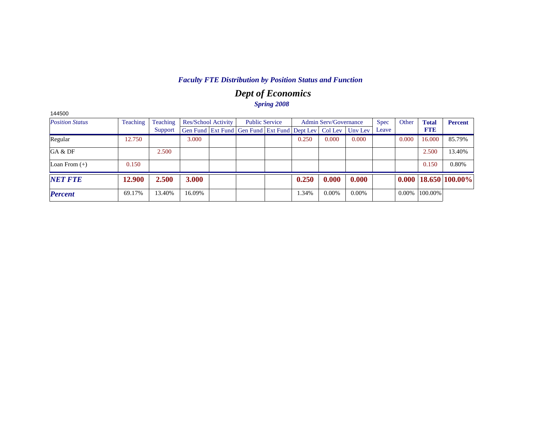## *Dept of Economics Spring 2008*

| 144500                 |          |          |        |                            |                                                                |       |                              |         |             |       |              |                            |
|------------------------|----------|----------|--------|----------------------------|----------------------------------------------------------------|-------|------------------------------|---------|-------------|-------|--------------|----------------------------|
| <b>Position Status</b> | Teaching | Teaching |        | <b>Res/School Activity</b> | <b>Public Service</b>                                          |       | <b>Admin Serv/Governance</b> |         | <b>Spec</b> | Other | <b>Total</b> | <b>Percent</b>             |
|                        |          | Support  |        |                            | Gen Fund   Ext Fund   Gen Fund   Ext Fund   Dept Lev   Col Lev |       |                              | Unv Lev | Leave       |       | <b>FTE</b>   |                            |
| Regular                | 12.750   |          | 3.000  |                            |                                                                | 0.250 | 0.000                        | 0.000   |             | 0.000 | 16.000       | 85.79%                     |
| GA & DF                |          | 2.500    |        |                            |                                                                |       |                              |         |             |       | 2.500        | 13.40%                     |
| Loan From $(+)$        | 0.150    |          |        |                            |                                                                |       |                              |         |             |       | 0.150        | 0.80%                      |
| <b>NET FTE</b>         | 12.900   | 2.500    | 3.000  |                            |                                                                | 0.250 | 0.000                        | 0.000   |             |       |              | $0.000$   18.650   100.00% |
| <b>Percent</b>         | 69.17%   | 13.40%   | 16.09% |                            |                                                                | 1.34% | $0.00\%$                     | 0.00%   |             | 0.00% | 100.00%      |                            |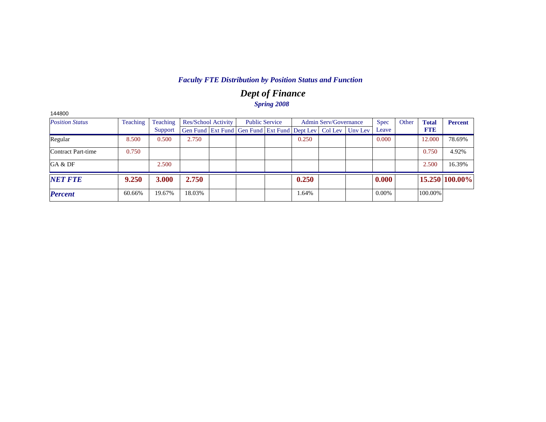## *Dept of Finance Spring 2008*

| 144800                 |          |          |        |                     |                                                                |       |                              |         |             |       |              |                |
|------------------------|----------|----------|--------|---------------------|----------------------------------------------------------------|-------|------------------------------|---------|-------------|-------|--------------|----------------|
| <b>Position Status</b> | Teaching | Teaching |        | Res/School Activity | <b>Public Service</b>                                          |       | <b>Admin Serv/Governance</b> |         | <b>Spec</b> | Other | <b>Total</b> | <b>Percent</b> |
|                        |          | Support  |        |                     | Gen Fund   Ext Fund   Gen Fund   Ext Fund   Dept Lev   Col Lev |       |                              | Unv Lev | Leave       |       | <b>FTE</b>   |                |
| Regular                | 8.500    | 0.500    | 2.750  |                     |                                                                | 0.250 |                              |         | 0.000       |       | 12.000       | 78.69%         |
| Contract Part-time     | 0.750    |          |        |                     |                                                                |       |                              |         |             |       | 0.750        | 4.92%          |
| GA & DF                |          | 2.500    |        |                     |                                                                |       |                              |         |             |       | 2.500        | 16.39%         |
| <b>NET FTE</b>         | 9.250    | 3.000    | 2.750  |                     |                                                                | 0.250 |                              |         | 0.000       |       |              | 15.250 100.00% |
| <b>Percent</b>         | 60.66%   | 19.67%   | 18.03% |                     |                                                                | 1.64% |                              |         | 0.00%       |       | 100.00%      |                |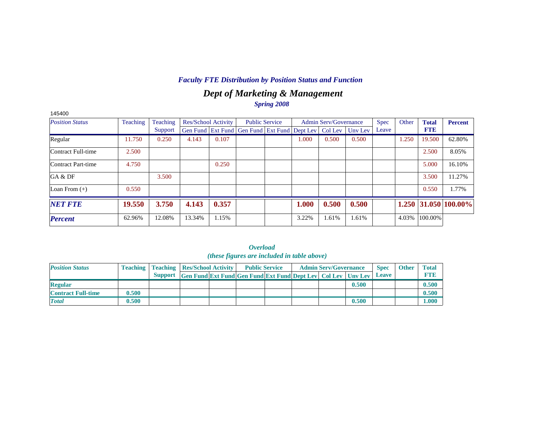## *Dept of Marketing & Management Spring 2008*

| 145400                 |          |          |        |                            |                                                                |                       |       |                              |         |             |       |              |                      |
|------------------------|----------|----------|--------|----------------------------|----------------------------------------------------------------|-----------------------|-------|------------------------------|---------|-------------|-------|--------------|----------------------|
| <b>Position Status</b> | Teaching | Teaching |        | <b>Res/School Activity</b> |                                                                | <b>Public Service</b> |       | <b>Admin Serv/Governance</b> |         | <b>Spec</b> | Other | <b>Total</b> | <b>Percent</b>       |
|                        |          | Support  |        |                            | Gen Fund   Ext Fund   Gen Fund   Ext Fund   Dept Lev   Col Lev |                       |       |                              | Unv Lev | Leave       |       | <b>FTE</b>   |                      |
| Regular                | 11.750   | 0.250    | 4.143  | 0.107                      |                                                                |                       | 1.000 | 0.500                        | 0.500   |             | 1.250 | 19.500       | 62.80%               |
| Contract Full-time     | 2.500    |          |        |                            |                                                                |                       |       |                              |         |             |       | 2.500        | 8.05%                |
| Contract Part-time     | 4.750    |          |        | 0.250                      |                                                                |                       |       |                              |         |             |       | 5.000        | 16.10%               |
| GA & DF                |          | 3.500    |        |                            |                                                                |                       |       |                              |         |             |       | 3.500        | 11.27%               |
| Loan From $(+)$        | 0.550    |          |        |                            |                                                                |                       |       |                              |         |             |       | 0.550        | 1.77%                |
| <b>NET FTE</b>         | 19.550   | 3.750    | 4.143  | 0.357                      |                                                                |                       | 1.000 | 0.500                        | 0.500   |             |       |              | 1.250 31.050 100.00% |
| <b>Percent</b>         | 62.96%   | 12.08%   | 13.34% | 1.15%                      |                                                                |                       | 3.22% | 1.61%                        | 1.61%   |             | 4.03% | 100.00%      |                      |

*Overload* 

|                           |       |                                                    |                                                                      | <i>(these figures are included in table above)</i> |  |                              |       |              |              |              |
|---------------------------|-------|----------------------------------------------------|----------------------------------------------------------------------|----------------------------------------------------|--|------------------------------|-------|--------------|--------------|--------------|
| <b>Position Status</b>    |       | <b>Teaching   Teaching   Res/School Activity  </b> |                                                                      | <b>Public Service</b>                              |  | <b>Admin Serv/Governance</b> |       | <b>Spec</b>  | <b>Other</b> | <b>Total</b> |
|                           |       |                                                    | Support Gen Fund Ext Fund Gen Fund Ext Fund Dept Lev Col Lev Unv Lev |                                                    |  |                              |       | <b>Leave</b> |              | <b>FTB</b>   |
| <b>Regular</b>            |       |                                                    |                                                                      |                                                    |  |                              | 0.500 |              |              | 0.500        |
| <b>Contract Full-time</b> | 0.500 |                                                    |                                                                      |                                                    |  |                              |       |              |              | 0.500        |
| <b>Total</b>              | 0.500 |                                                    |                                                                      |                                                    |  |                              | 0.500 |              |              | 1.000        |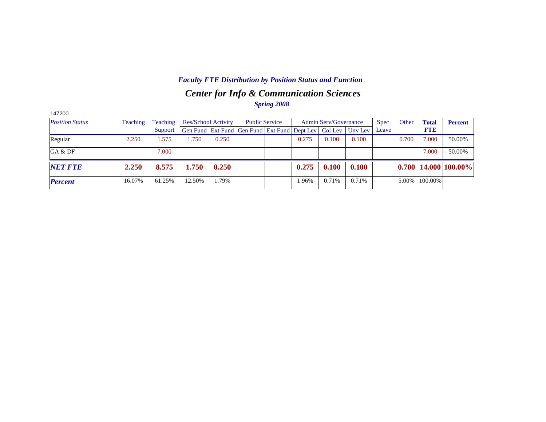## *Center for Info & Communication Sciences Faculty FTE Distribution by Position Status and Function*

*Spring 2008*

| 147200                 |          |          |                            |       |                                                      |                       |       |                              |         |             |       |              |                            |
|------------------------|----------|----------|----------------------------|-------|------------------------------------------------------|-----------------------|-------|------------------------------|---------|-------------|-------|--------------|----------------------------|
| <b>Position Status</b> | Teaching | Teaching | <b>Res/School Activity</b> |       |                                                      | <b>Public Service</b> |       | <b>Admin Serv/Governance</b> |         | <b>Spec</b> | Other | <b>Total</b> | <b>Percent</b>             |
|                        |          | Support  |                            |       | Gen Fund Ext Fund Gen Fund Ext Fund Dept Lev Col Lev |                       |       |                              | Unv Lev | Leave       |       | <b>FTE</b>   |                            |
| Regular                | 2.250    | .575     | .750                       | 0.250 |                                                      |                       | 0.275 | 0.100                        | 0.100   |             | 0.700 | 7.000        | 50.00%                     |
| GA & DF                |          | 7.000    |                            |       |                                                      |                       |       |                              |         |             |       | 7.000        | 50.00%                     |
| <b>NET FTE</b>         | 2.250    | 8.575    | 1.750                      | 0.250 |                                                      |                       | 0.275 | 0.100                        | 0.100   |             |       |              | $0.700$   14.000   100.00% |
| <b>Percent</b>         | 16.07%   | 61.25%   | 12.50%                     | 1.79% |                                                      |                       | 1.96% | 0.71%                        | 0.71%   |             | 5.00% | 100.00%      |                            |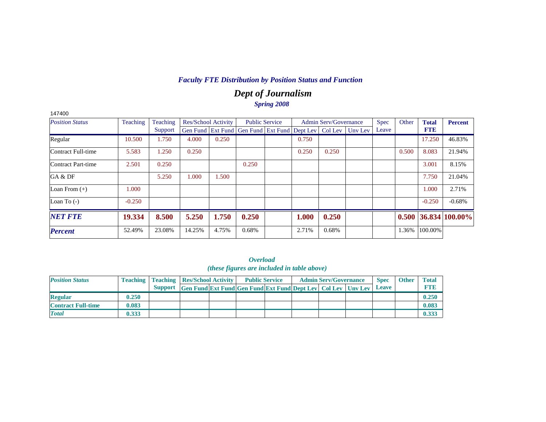## *Dept of Journalism Spring 2008*

| 147400                 |          |          |                            |       |                                                                |       |                              |         |             |       |              |                   |
|------------------------|----------|----------|----------------------------|-------|----------------------------------------------------------------|-------|------------------------------|---------|-------------|-------|--------------|-------------------|
| <b>Position Status</b> | Teaching | Teaching | <b>Res/School Activity</b> |       | <b>Public Service</b>                                          |       | <b>Admin Serv/Governance</b> |         | <b>Spec</b> | Other | <b>Total</b> | <b>Percent</b>    |
|                        |          | Support  |                            |       | Gen Fund   Ext Fund   Gen Fund   Ext Fund   Dept Lev   Col Lev |       |                              | Uny Lev | Leave       |       | <b>FTE</b>   |                   |
| Regular                | 10.500   | 1.750    | 4.000                      | 0.250 |                                                                | 0.750 |                              |         |             |       | 17.250       | 46.83%            |
| Contract Full-time     | 5.583    | 1.250    | 0.250                      |       |                                                                | 0.250 | 0.250                        |         |             | 0.500 | 8.083        | 21.94%            |
| Contract Part-time     | 2.501    | 0.250    |                            |       | 0.250                                                          |       |                              |         |             |       | 3.001        | 8.15%             |
| GA & DF                |          | 5.250    | 1.000                      | 1.500 |                                                                |       |                              |         |             |       | 7.750        | 21.04%            |
| Loan From $(+)$        | 1.000    |          |                            |       |                                                                |       |                              |         |             |       | 1.000        | 2.71%             |
| Loan To $(-)$          | $-0.250$ |          |                            |       |                                                                |       |                              |         |             |       | $-0.250$     | $-0.68%$          |
| <b>NET FTE</b>         | 19.334   | 8.500    | 5.250                      | 1.750 | 0.250                                                          | 1.000 | 0.250                        |         |             | 0.500 |              | $36.834 100.00\%$ |
| <b>Percent</b>         | 52.49%   | 23.08%   | 14.25%                     | 4.75% | 0.68%                                                          | 2.71% | 0.68%                        |         |             | 1.36% | 100.00%      |                   |

#### *Overload (these figures are included in table above)*

| <b>Position Status</b>    |       | <b>Teaching   Teaching   Res/School Activity  </b> |                                                                      | <b>Public Service</b> |  | <b>Admin Serv/Governance</b> | <b>Spec</b> | <b>Other</b> | <b>Total</b> |
|---------------------------|-------|----------------------------------------------------|----------------------------------------------------------------------|-----------------------|--|------------------------------|-------------|--------------|--------------|
|                           |       |                                                    | Support Gen Fund Ext Fund Gen Fund Ext Fund Dept Lev Col Lev Unv Lev |                       |  |                              | Leave       |              |              |
| <b>Regular</b>            | 0.250 |                                                    |                                                                      |                       |  |                              |             |              | 0.250        |
| <b>Contract Full-time</b> | 0.083 |                                                    |                                                                      |                       |  |                              |             |              | 0.083        |
| <b>Total</b>              | 0.333 |                                                    |                                                                      |                       |  |                              |             |              | 0.333        |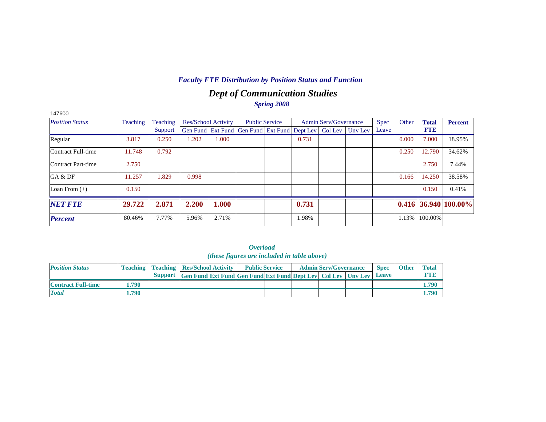## *Dept of Communication Studies Spring 2008*

| 147600                 |          |          |                            |       |                                                                  |       |                              |             |       |              |                        |
|------------------------|----------|----------|----------------------------|-------|------------------------------------------------------------------|-------|------------------------------|-------------|-------|--------------|------------------------|
| <b>Position Status</b> | Teaching | Teaching | <b>Res/School Activity</b> |       | <b>Public Service</b>                                            |       | <b>Admin Serv/Governance</b> | <b>Spec</b> | Other | <b>Total</b> | <b>Percent</b>         |
|                        |          | Support  |                            |       | Gen Fund Ext Fund Gen Fund Ext Fund Dept Lev   Col Lev   Unv Lev |       |                              | Leave       |       | <b>FTE</b>   |                        |
| Regular                | 3.817    | 0.250    | 1.202                      | 1.000 |                                                                  | 0.731 |                              |             | 0.000 | 7.000        | 18.95%                 |
| Contract Full-time     | 11.748   | 0.792    |                            |       |                                                                  |       |                              |             | 0.250 | 12.790       | 34.62%                 |
| Contract Part-time     | 2.750    |          |                            |       |                                                                  |       |                              |             |       | 2.750        | 7.44%                  |
| GA & DF                | 11.257   | 1.829    | 0.998                      |       |                                                                  |       |                              |             | 0.166 | 14.250       | 38.58%                 |
| Loan From $(+)$        | 0.150    |          |                            |       |                                                                  |       |                              |             |       | 0.150        | 0.41%                  |
| <b>NET FTE</b>         | 29.722   | 2.871    | 2.200                      | 1.000 |                                                                  | 0.731 |                              |             |       |              | $0.416$ 36.940 100.00% |
| <b>Percent</b>         | 80.46%   | 7.77%    | 5.96%                      | 2.71% |                                                                  | 1.98% |                              |             | 1.13% | 100.00%      |                        |

|                           |       |                                                    |                                                                      | <i><b>Overload</b></i><br>(these figures are included in table above) |  |                              |              |              |              |
|---------------------------|-------|----------------------------------------------------|----------------------------------------------------------------------|-----------------------------------------------------------------------|--|------------------------------|--------------|--------------|--------------|
| <b>Position Status</b>    |       | <b>Teaching   Teaching   Res/School Activity  </b> |                                                                      | <b>Public Service</b>                                                 |  | <b>Admin Serv/Governance</b> | <b>Spec</b>  | <b>Other</b> | <b>Total</b> |
|                           |       |                                                    | Support Gen Fund Ext Fund Gen Fund Ext Fund Dept Lev Col Lev Unv Lev |                                                                       |  |                              | <b>Leave</b> |              | <b>FTE</b>   |
| <b>Contract Full-time</b> | l.790 |                                                    |                                                                      |                                                                       |  |                              |              |              | 1.790        |
| <b>Total</b>              | 1.790 |                                                    |                                                                      |                                                                       |  |                              |              |              | 1.790        |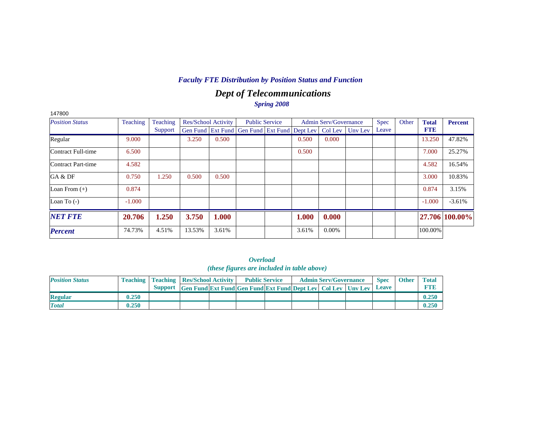## *Dept of Telecommunications Spring 2008*

| 147800                 |          |          |                     |       |                                                                |                       |       |                              |         |             |       |              |                |
|------------------------|----------|----------|---------------------|-------|----------------------------------------------------------------|-----------------------|-------|------------------------------|---------|-------------|-------|--------------|----------------|
| <b>Position Status</b> | Teaching | Teaching | Res/School Activity |       |                                                                | <b>Public Service</b> |       | <b>Admin Serv/Governance</b> |         | <b>Spec</b> | Other | <b>Total</b> | <b>Percent</b> |
|                        |          | Support  |                     |       | Gen Fund   Ext Fund   Gen Fund   Ext Fund   Dept Lev   Col Lev |                       |       |                              | Uny Lev | Leave       |       | <b>FTE</b>   |                |
| Regular                | 9.000    |          | 3.250               | 0.500 |                                                                |                       | 0.500 | 0.000                        |         |             |       | 13.250       | 47.82%         |
| Contract Full-time     | 6.500    |          |                     |       |                                                                |                       | 0.500 |                              |         |             |       | 7.000        | 25.27%         |
| Contract Part-time     | 4.582    |          |                     |       |                                                                |                       |       |                              |         |             |       | 4.582        | 16.54%         |
| GA & DF                | 0.750    | 1.250    | 0.500               | 0.500 |                                                                |                       |       |                              |         |             |       | 3.000        | 10.83%         |
| Loan From $(+)$        | 0.874    |          |                     |       |                                                                |                       |       |                              |         |             |       | 0.874        | 3.15%          |
| Loan To $(-)$          | $-1.000$ |          |                     |       |                                                                |                       |       |                              |         |             |       | $-1.000$     | $-3.61%$       |
| <b>NET FTE</b>         | 20.706   | 1.250    | 3.750               | 1.000 |                                                                |                       | 1.000 | 0.000                        |         |             |       |              | 27.706 100.00% |
| <b>Percent</b>         | 74.73%   | 4.51%    | 13.53%              | 3.61% |                                                                |                       | 3.61% | $0.00\%$                     |         |             |       | 100.00%      |                |

*Overload (these figures are included in table above)*

| <b>Position Status</b> |       | <b>Teaching   Teaching   Res/School Activity  </b> |                                                                      | <b>Public Service</b> |  | <b>Admin Serv/Governance</b> | <b>Spec</b> | <b>Other</b> | <b>Total</b> |
|------------------------|-------|----------------------------------------------------|----------------------------------------------------------------------|-----------------------|--|------------------------------|-------------|--------------|--------------|
|                        |       |                                                    | Support Gen Fund Ext Fund Gen Fund Ext Fund Dept Lev Col Lev Unv Lev |                       |  |                              | Leave       |              |              |
| <b>Regular</b>         | 0.250 |                                                    |                                                                      |                       |  |                              |             |              |              |
| <b>Total</b>           | 0.250 |                                                    |                                                                      |                       |  |                              |             |              |              |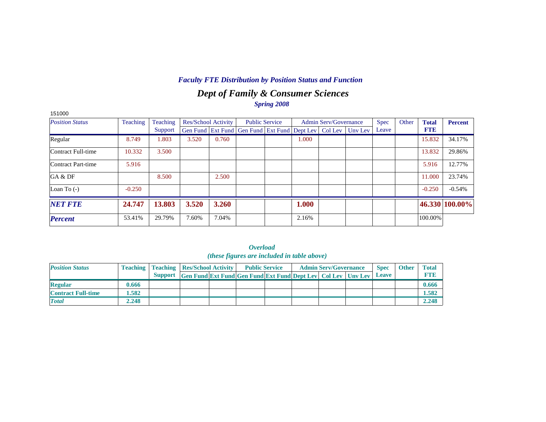## *Dept of Family & Consumer Sciences Spring 2008*

| 151000                 |          |          |                            |       |                                                                |                       |       |                              |         |             |       |              |                |
|------------------------|----------|----------|----------------------------|-------|----------------------------------------------------------------|-----------------------|-------|------------------------------|---------|-------------|-------|--------------|----------------|
| <b>Position Status</b> | Teaching | Teaching | <b>Res/School Activity</b> |       |                                                                | <b>Public Service</b> |       | <b>Admin Serv/Governance</b> |         | <b>Spec</b> | Other | <b>Total</b> | <b>Percent</b> |
|                        |          | Support  |                            |       | Gen Fund   Ext Fund   Gen Fund   Ext Fund   Dept Lev   Col Lev |                       |       |                              | Unv Lev | Leave       |       | <b>FTE</b>   |                |
| Regular                | 8.749    | 1.803    | 3.520                      | 0.760 |                                                                |                       | 1.000 |                              |         |             |       | 15.832       | 34.17%         |
| Contract Full-time     | 10.332   | 3.500    |                            |       |                                                                |                       |       |                              |         |             |       | 13.832       | 29.86%         |
| Contract Part-time     | 5.916    |          |                            |       |                                                                |                       |       |                              |         |             |       | 5.916        | 12.77%         |
| GA & DF                |          | 8.500    |                            | 2.500 |                                                                |                       |       |                              |         |             |       | 11.000       | 23.74%         |
| Loan To $(-)$          | $-0.250$ |          |                            |       |                                                                |                       |       |                              |         |             |       | $-0.250$     | $-0.54%$       |
| <b>NET FTE</b>         | 24.747   | 13.803   | 3.520                      | 3.260 |                                                                |                       | 1.000 |                              |         |             |       |              | 46.330 100.00% |
| <b>Percent</b>         | 53.41%   | 29.79%   | 7.60%                      | 7.04% |                                                                |                       | 2.16% |                              |         |             |       | 100.00%      |                |

|                           | <i><b>Overload</b></i><br>( <i>these figures are included in table above</i> ) |  |                                                                          |                                                    |  |                       |  |                              |  |              |              |              |  |  |
|---------------------------|--------------------------------------------------------------------------------|--|--------------------------------------------------------------------------|----------------------------------------------------|--|-----------------------|--|------------------------------|--|--------------|--------------|--------------|--|--|
| <b>Position Status</b>    |                                                                                |  |                                                                          | <b>Teaching   Teaching   Res/School Activity  </b> |  | <b>Public Service</b> |  | <b>Admin Serv/Governance</b> |  | <b>Spec</b>  | <b>Other</b> | <b>Total</b> |  |  |
|                           |                                                                                |  | Support Gen Fund Ext Fund Gen Fund Ext Fund Dept Lev   Col Lev   Unv Lev |                                                    |  |                       |  |                              |  | <b>Leave</b> |              | <b>FTR</b>   |  |  |
| <b>Regular</b>            | 0.666                                                                          |  |                                                                          |                                                    |  |                       |  |                              |  |              |              | 0.666        |  |  |
| <b>Contract Full-time</b> | 1.582                                                                          |  |                                                                          |                                                    |  |                       |  |                              |  |              |              | 1.582        |  |  |
| <b>Total</b>              | 2.248                                                                          |  |                                                                          |                                                    |  |                       |  |                              |  |              |              | 2.248        |  |  |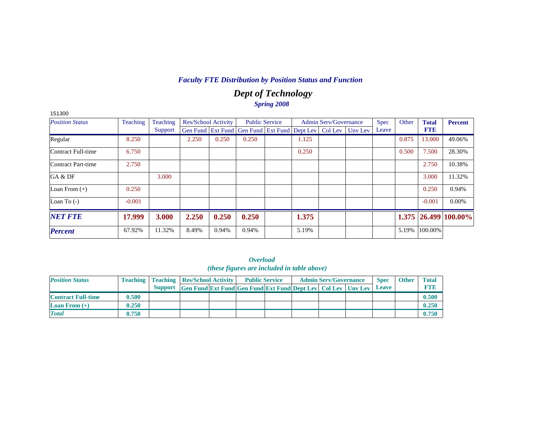## *Dept of Technology Spring 2008*

| 151300                 |          |          |                            |       |                                                                |                       |       |                              |         |             |       |              |                      |
|------------------------|----------|----------|----------------------------|-------|----------------------------------------------------------------|-----------------------|-------|------------------------------|---------|-------------|-------|--------------|----------------------|
| <b>Position Status</b> | Teaching | Teaching | <b>Res/School Activity</b> |       |                                                                | <b>Public Service</b> |       | <b>Admin Serv/Governance</b> |         | <b>Spec</b> | Other | <b>Total</b> | <b>Percent</b>       |
|                        |          | Support  |                            |       | Gen Fund   Ext Fund   Gen Fund   Ext Fund   Dept Lev   Col Lev |                       |       |                              | Uny Lev | Leave       |       | <b>FTE</b>   |                      |
| Regular                | 8.250    |          | 2.250                      | 0.250 | 0.250                                                          |                       | 1.125 |                              |         |             | 0.875 | 13.000       | 49.06%               |
| Contract Full-time     | 6.750    |          |                            |       |                                                                |                       | 0.250 |                              |         |             | 0.500 | 7.500        | 28.30%               |
| Contract Part-time     | 2.750    |          |                            |       |                                                                |                       |       |                              |         |             |       | 2.750        | 10.38%               |
| GA & DF                |          | 3.000    |                            |       |                                                                |                       |       |                              |         |             |       | 3.000        | 11.32%               |
| Loan From $(+)$        | 0.250    |          |                            |       |                                                                |                       |       |                              |         |             |       | 0.250        | 0.94%                |
| Loan To $(-)$          | $-0.001$ |          |                            |       |                                                                |                       |       |                              |         |             |       | $-0.001$     | 0.00%                |
| <b>NET FTE</b>         | 17.999   | 3.000    | 2.250                      | 0.250 | 0.250                                                          |                       | 1.375 |                              |         |             |       |              | 1.375 26.499 100.00% |
| <b>Percent</b>         | 67.92%   | 11.32%   | 8.49%                      | 0.94% | 0.94%                                                          |                       | 5.19% |                              |         |             | 5.19% | 100.00%      |                      |

|                                             | <i><b>Overload</b></i> |  |  |
|---------------------------------------------|------------------------|--|--|
| (these figures are included in table above) |                        |  |  |

| <b>Position Status</b>            |       | <b>Teaching   Teaching   Res/School Activity  </b>                   |  | <b>Public Service</b> |  | <b>Admin Serv/Governance</b> | <b>Spec</b> | <b>Other</b> | <b>Total</b> |
|-----------------------------------|-------|----------------------------------------------------------------------|--|-----------------------|--|------------------------------|-------------|--------------|--------------|
|                                   |       | Support Gen Fund Ext Fund Gen Fund Ext Fund Dept Lev Col Lev Unv Lev |  |                       |  |                              | Leave       |              | FTF          |
| <b>Contract Full-time</b>         | 0.500 |                                                                      |  |                       |  |                              |             |              | 0.500        |
| <b>Loan From <math>(+)</math></b> | 0.250 |                                                                      |  |                       |  |                              |             |              | 0.250        |
| <b>Total</b>                      | 0.750 |                                                                      |  |                       |  |                              |             |              | 0.750        |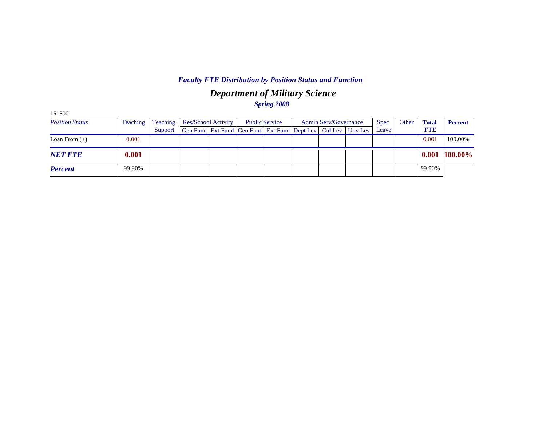## *Department of Military Science Spring 2008*

| 151800                 |          |          |                            |                                                                  |  |                              |             |       |              |                |
|------------------------|----------|----------|----------------------------|------------------------------------------------------------------|--|------------------------------|-------------|-------|--------------|----------------|
| <b>Position Status</b> | Teaching | Teaching | <b>Res/School Activity</b> | <b>Public Service</b>                                            |  | <b>Admin Serv/Governance</b> | <b>Spec</b> | Other | <b>Total</b> | <b>Percent</b> |
|                        |          | Support  |                            | Gen Fund Ext Fund Gen Fund Ext Fund Dept Lev   Col Lev   Unv Lev |  |                              | Leave       |       | <b>FTE</b>   |                |
| Loan From $(+)$        | 0.001    |          |                            |                                                                  |  |                              |             |       | 0.001        | 100.00%        |
| <b>NET FTE</b>         | 0.001    |          |                            |                                                                  |  |                              |             |       | 0.001        | 100.00%        |
| <b>Percent</b>         | 99.90%   |          |                            |                                                                  |  |                              |             |       | 99.90%       |                |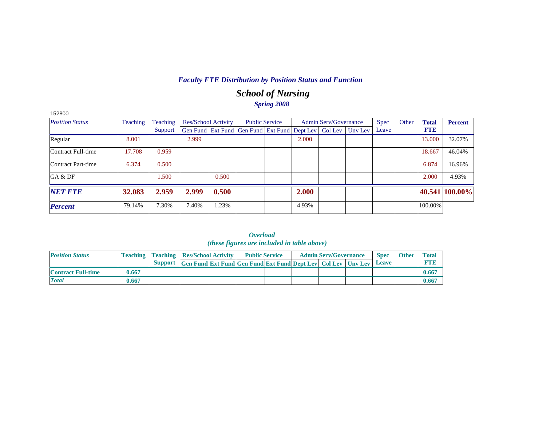## *School of Nursing Spring 2008*

| 152800                 |          |          |                            |       |                                                                          |       |                              |             |       |              |                |
|------------------------|----------|----------|----------------------------|-------|--------------------------------------------------------------------------|-------|------------------------------|-------------|-------|--------------|----------------|
| <b>Position Status</b> | Teaching | Teaching | <b>Res/School Activity</b> |       | <b>Public Service</b>                                                    |       | <b>Admin Serv/Governance</b> | <b>Spec</b> | Other | <b>Total</b> | <b>Percent</b> |
|                        |          | Support  |                            |       | Gen Fund   Ext Fund   Gen Fund   Ext Fund   Dept Lev   Col Lev   Unv Lev |       |                              | Leave       |       | <b>FTE</b>   |                |
| Regular                | 8.001    |          | 2.999                      |       |                                                                          | 2.000 |                              |             |       | 13.000       | 32.07%         |
| Contract Full-time     | 17.708   | 0.959    |                            |       |                                                                          |       |                              |             |       | 18.667       | 46.04%         |
| Contract Part-time     | 6.374    | 0.500    |                            |       |                                                                          |       |                              |             |       | 6.874        | 16.96%         |
| GA & DF                |          | .500     |                            | 0.500 |                                                                          |       |                              |             |       | 2.000        | 4.93%          |
| <b>NET FTE</b>         | 32.083   | 2.959    | 2.999                      | 0.500 |                                                                          | 2.000 |                              |             |       |              | 40.541 100.00% |
| <b>Percent</b>         | 79.14%   | 7.30%    | 7.40%                      | 1.23% |                                                                          | 4.93% |                              |             |       | 100.00%      |                |

|                           |       |                                                                      |                                                                           | <i>угеници</i><br><i>(these figures are included in table above)</i> |  |                              |                             |              |                            |
|---------------------------|-------|----------------------------------------------------------------------|---------------------------------------------------------------------------|----------------------------------------------------------------------|--|------------------------------|-----------------------------|--------------|----------------------------|
| <b>Position Status</b>    |       | <b>Teaching   Teaching   Res/School Activity  </b><br><b>Support</b> | <b>Gen Fund Ext Fund Gen Fund Ext Fund Dept Lev   Col Lev   Unv Lev  </b> | <b>Public Service</b>                                                |  | <b>Admin Serv/Governance</b> | <b>Spec</b><br><b>Leave</b> | <b>Other</b> | <b>Total</b><br><b>FTE</b> |
| <b>Contract Full-time</b> | 0.667 |                                                                      |                                                                           |                                                                      |  |                              |                             |              | 0.667                      |
| <b>Total</b>              | 0.667 |                                                                      |                                                                           |                                                                      |  |                              |                             |              | 0.667                      |

*Overload*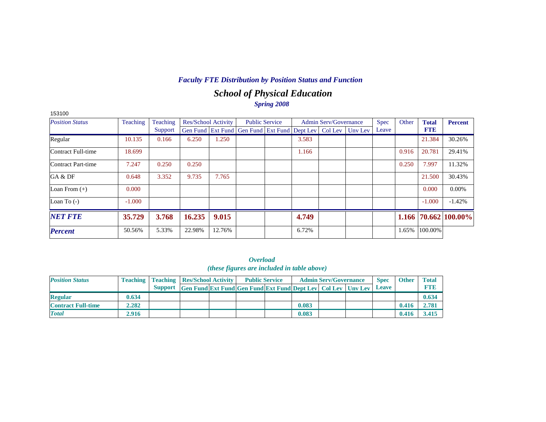## *School of Physical Education Spring 2008*

| 153100                 |          |          |        |                            |                                                                  |                       |       |                              |             |       |              |                            |
|------------------------|----------|----------|--------|----------------------------|------------------------------------------------------------------|-----------------------|-------|------------------------------|-------------|-------|--------------|----------------------------|
| <b>Position Status</b> | Teaching | Teaching |        | <b>Res/School Activity</b> |                                                                  | <b>Public Service</b> |       | <b>Admin Serv/Governance</b> | <b>Spec</b> | Other | <b>Total</b> | <b>Percent</b>             |
|                        |          | Support  |        |                            | Gen Fund Ext Fund Gen Fund Ext Fund Dept Lev   Col Lev   Unv Lev |                       |       |                              | Leave       |       | <b>FTE</b>   |                            |
| Regular                | 10.135   | 0.166    | 6.250  | 1.250                      |                                                                  |                       | 3.583 |                              |             |       | 21.384       | 30.26%                     |
| Contract Full-time     | 18.699   |          |        |                            |                                                                  |                       | 1.166 |                              |             | 0.916 | 20.781       | 29.41%                     |
| Contract Part-time     | 7.247    | 0.250    | 0.250  |                            |                                                                  |                       |       |                              |             | 0.250 | 7.997        | 11.32%                     |
| GA & DF                | 0.648    | 3.352    | 9.735  | 7.765                      |                                                                  |                       |       |                              |             |       | 21.500       | 30.43%                     |
| Loan From $(+)$        | 0.000    |          |        |                            |                                                                  |                       |       |                              |             |       | 0.000        | $0.00\%$                   |
| Loan To $(-)$          | $-1.000$ |          |        |                            |                                                                  |                       |       |                              |             |       | $-1.000$     | $-1.42%$                   |
| <b>NET FTE</b>         | 35.729   | 3.768    | 16.235 | 9.015                      |                                                                  |                       | 4.749 |                              |             |       |              | $1.166$   70.662   100.00% |
| <b>Percent</b>         | 50.56%   | 5.33%    | 22.98% | 12.76%                     |                                                                  |                       | 6.72% |                              |             | 1.65% | 100.00%      |                            |

*Overload (these figures are included in table above)*

| <b>Position Status</b>    |       | <b>Teaching   Teaching   Res/School Activity  </b>                       |  | <b>Public Service</b> |       | <b>Admin Serv/Governance</b> | <b>Spec</b>  | <b>Other</b> | <b>Total</b> |
|---------------------------|-------|--------------------------------------------------------------------------|--|-----------------------|-------|------------------------------|--------------|--------------|--------------|
|                           |       | Support Gen Fund Ext Fund Gen Fund Ext Fund Dept Lev   Col Lev   Unv Lev |  |                       |       |                              | <b>Leave</b> |              | <b>FTB</b>   |
| <b>Regular</b>            | 0.634 |                                                                          |  |                       |       |                              |              |              | 0.634        |
| <b>Contract Full-time</b> | 2.282 |                                                                          |  |                       | 0.083 |                              |              | 0.416        | 2.781        |
| <b>Total</b>              | 2.916 |                                                                          |  |                       | 0.083 |                              |              | 0.416        | 3.415        |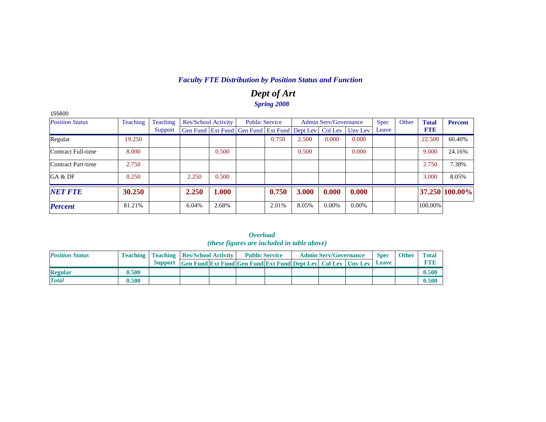## *Dept of Art Spring 2008*

| 155600                 |          |          |                     |       |                                                                |       |       |                       |          |             |       |              |                |
|------------------------|----------|----------|---------------------|-------|----------------------------------------------------------------|-------|-------|-----------------------|----------|-------------|-------|--------------|----------------|
| <b>Position Status</b> | Teaching | Teaching | Res/School Activity |       | <b>Public Service</b>                                          |       |       | Admin Serv/Governance |          | <b>Spec</b> | Other | <b>Total</b> | <b>Percent</b> |
|                        |          | Support  |                     |       | Gen Fund   Ext Fund   Gen Fund   Ext Fund   Dept Lev   Col Lev |       |       |                       | Unv Lev  | Leave       |       | <b>FTE</b>   |                |
| Regular                | 19.250   |          |                     |       |                                                                | 0.750 | 2.500 | 0.000                 | 0.000    |             |       | 22.500       | 60.40%         |
| Contract Full-time     | 8.000    |          |                     | 0.500 |                                                                |       | 0.500 |                       | 0.000    |             |       | 9.000        | 24.16%         |
| Contract Part-time     | 2.750    |          |                     |       |                                                                |       |       |                       |          |             |       | 2.750        | 7.38%          |
| GA & DF                | 0.250    |          | 2.250               | 0.500 |                                                                |       |       |                       |          |             |       | 3.000        | 8.05%          |
| <b>NET FTE</b>         | 30.250   |          | 2.250               | 1.000 |                                                                | 0.750 | 3.000 | 0.000                 | 0.000    |             |       |              | 37.250 100.00% |
| <b>Percent</b>         | 81.21%   |          | 6.04%               | 2.68% |                                                                | 2.01% | 8.05% | $0.00\%$              | $0.00\%$ |             |       | 100.00%      |                |

| <i><b>Overload</b></i>                             |
|----------------------------------------------------|
| <i>(these figures are included in table above)</i> |

| <b>Position Status</b> |       | <b>Teaching   Teaching   Res/School Activity  </b>                         |  | <b>Public Service</b> |  | <b>Admin Serv/Governance</b> | <b>Spec</b> | <b>Other</b> | <b>Total</b> |
|------------------------|-------|----------------------------------------------------------------------------|--|-----------------------|--|------------------------------|-------------|--------------|--------------|
|                        |       | Support Gen Fund Ext Fund Gen Fund Ext Fund Dept Lev Col Lev Unv Lev Leave |  |                       |  |                              |             |              | <b>RTI</b>   |
| Regular                | 0.500 |                                                                            |  |                       |  |                              |             |              | 0.500        |
| <b>Total</b>           | 0.500 |                                                                            |  |                       |  |                              |             |              | 0.500        |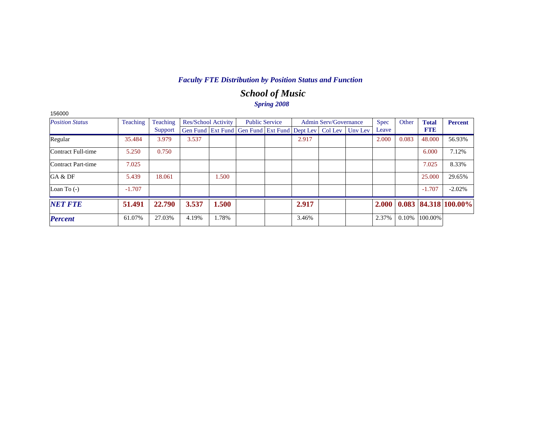## *School of Music Spring 2008*

| 156000                 |          |          |       |                            |                                                                  |                       |       |                              |             |       |              |                            |
|------------------------|----------|----------|-------|----------------------------|------------------------------------------------------------------|-----------------------|-------|------------------------------|-------------|-------|--------------|----------------------------|
| <b>Position Status</b> | Teaching | Teaching |       | <b>Res/School Activity</b> |                                                                  | <b>Public Service</b> |       | <b>Admin Serv/Governance</b> | <b>Spec</b> | Other | <b>Total</b> | <b>Percent</b>             |
|                        |          | Support  |       |                            | Gen Fund Ext Fund Gen Fund Ext Fund Dept Lev   Col Lev   Unv Lev |                       |       |                              | Leave       |       | <b>FTE</b>   |                            |
| Regular                | 35.484   | 3.979    | 3.537 |                            |                                                                  |                       | 2.917 |                              | 2.000       | 0.083 | 48.000       | 56.93%                     |
| Contract Full-time     | 5.250    | 0.750    |       |                            |                                                                  |                       |       |                              |             |       | 6.000        | 7.12%                      |
| Contract Part-time     | 7.025    |          |       |                            |                                                                  |                       |       |                              |             |       | 7.025        | 8.33%                      |
| GA & DF                | 5.439    | 18.061   |       | 1.500                      |                                                                  |                       |       |                              |             |       | 25,000       | 29.65%                     |
| Loan To $(-)$          | $-1.707$ |          |       |                            |                                                                  |                       |       |                              |             |       | $-1.707$     | $-2.02%$                   |
| <b>NET FTE</b>         | 51.491   | 22.790   | 3.537 | 1.500                      |                                                                  |                       | 2.917 |                              | 2.000       |       |              | $0.083$   84.318   100.00% |
| <b>Percent</b>         | 61.07%   | 27.03%   | 4.19% | 1.78%                      |                                                                  |                       | 3.46% |                              | 2.37%       | 0.10% | 100.00%      |                            |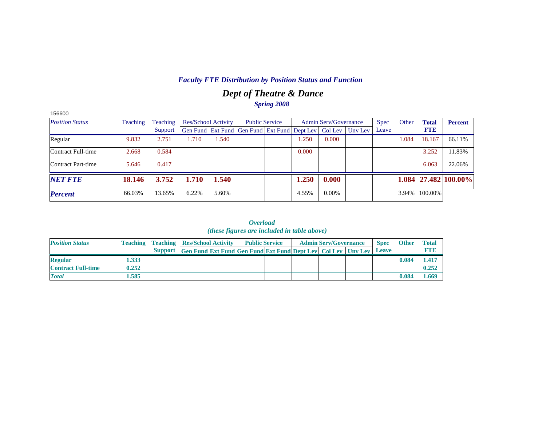## *Dept of Theatre & Dance Spring 2008*

| 156600                 |                      |         |                     |       |                                                                |  |       |                              |         |             |       |              |                            |
|------------------------|----------------------|---------|---------------------|-------|----------------------------------------------------------------|--|-------|------------------------------|---------|-------------|-------|--------------|----------------------------|
| <b>Position Status</b> | Teaching<br>Teaching |         | Res/School Activity |       | <b>Public Service</b>                                          |  |       | <b>Admin Serv/Governance</b> |         | <b>Spec</b> | Other | <b>Total</b> | <b>Percent</b>             |
|                        |                      | Support |                     |       | Gen Fund   Ext Fund   Gen Fund   Ext Fund   Dept Lev   Col Lev |  |       |                              | Uny Lev | Leave       |       | <b>FTE</b>   |                            |
| Regular                | 9.832                | 2.751   | 1.710               | 1.540 |                                                                |  | 1.250 | 0.000                        |         |             | 1.084 | 18.167       | 66.11%                     |
| Contract Full-time     | 2.668                | 0.584   |                     |       |                                                                |  | 0.000 |                              |         |             |       | 3.252        | 11.83%                     |
| Contract Part-time     | 5.646                | 0.417   |                     |       |                                                                |  |       |                              |         |             |       | 6.063        | 22.06%                     |
| <b>NET FTE</b>         | 18.146               | 3.752   | 1.710               | 1.540 |                                                                |  | 1.250 | 0.000                        |         |             |       |              | $1.084$   27.482   100.00% |
| <b>Percent</b>         | 66.03%               | 13.65%  | 6.22%               | 5.60% |                                                                |  | 4.55% | $0.00\%$                     |         |             | 3.94% | 100.00%      |                            |

*Overload (these figures are included in table above)*

| <b>Position Status</b>    |       | <b>Teaching   Teaching   Res/School Activity  </b> |                                                                                  | <b>Public Service</b> |  | <b>Admin Serv/Governance</b> | <b>Spec</b> | <b>Other</b> | <b>Total</b> |
|---------------------------|-------|----------------------------------------------------|----------------------------------------------------------------------------------|-----------------------|--|------------------------------|-------------|--------------|--------------|
|                           |       |                                                    | Support Gen Fund Ext Fund Gen Fund Ext Fund Dept Lev   Col Lev   Unv Lev   Leave |                       |  |                              |             |              |              |
| <b>Regular</b>            | 1.333 |                                                    |                                                                                  |                       |  |                              |             | 0.084        | 1.417        |
| <b>Contract Full-time</b> | 0.252 |                                                    |                                                                                  |                       |  |                              |             |              | 0.252        |
| <b>Total</b>              | 1.585 |                                                    |                                                                                  |                       |  |                              |             | 0.084        | 1.669        |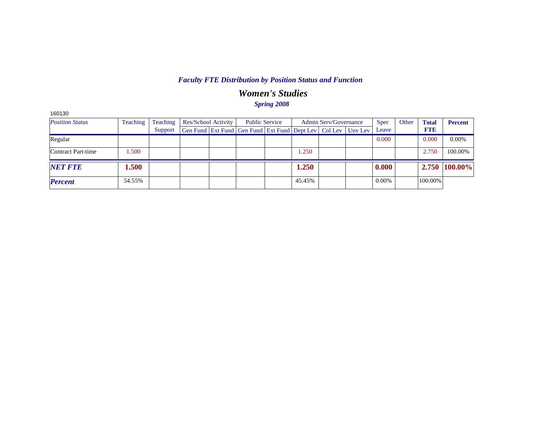## *Women's Studies*

| <b>Spring 2008</b> |  |
|--------------------|--|
|--------------------|--|

| 160130                 |          |          |                                                                |  |                       |  |        |                       |         |             |       |              |                |
|------------------------|----------|----------|----------------------------------------------------------------|--|-----------------------|--|--------|-----------------------|---------|-------------|-------|--------------|----------------|
| <b>Position Status</b> | Teaching | Teaching | Res/School Activity                                            |  | <b>Public Service</b> |  |        | Admin Serv/Governance |         | <b>Spec</b> | Other | <b>Total</b> | <b>Percent</b> |
|                        |          | Support  | Gen Fund   Ext Fund   Gen Fund   Ext Fund   Dept Lev   Col Lev |  |                       |  |        |                       | Unv Lev | Leave       |       | <b>FTE</b>   |                |
| Regular                |          |          |                                                                |  |                       |  |        |                       |         | 0.000       |       | 0.000        | $0.00\%$       |
| Contract Part-time     | .500     |          |                                                                |  |                       |  | 1.250  |                       |         |             |       | 2.750        | 100.00%        |
| <b>NET FTE</b>         | 1.500    |          |                                                                |  |                       |  | 1.250  |                       |         | 0.000       |       |              | 2.750 100.00%  |
| <b>Percent</b>         | 54.55%   |          |                                                                |  |                       |  | 45.45% |                       |         | $0.00\%$    |       | 100.00%      |                |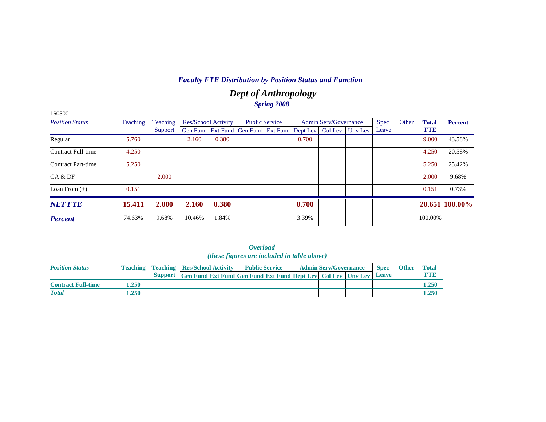## *Dept of Anthropology Spring 2008*

| 160300                    |          |          |        |                            |                                                                |       |                              |         |             |       |              |                |
|---------------------------|----------|----------|--------|----------------------------|----------------------------------------------------------------|-------|------------------------------|---------|-------------|-------|--------------|----------------|
| <b>Position Status</b>    | Teaching | Teaching |        | <b>Res/School Activity</b> | <b>Public Service</b>                                          |       | <b>Admin Serv/Governance</b> |         | <b>Spec</b> | Other | <b>Total</b> | <b>Percent</b> |
|                           |          | Support  |        |                            | Gen Fund   Ext Fund   Gen Fund   Ext Fund   Dept Lev   Col Lev |       |                              | Unv Lev | Leave       |       | <b>FTE</b>   |                |
| Regular                   | 5.760    |          | 2.160  | 0.380                      |                                                                | 0.700 |                              |         |             |       | 9.000        | 43.58%         |
| Contract Full-time        | 4.250    |          |        |                            |                                                                |       |                              |         |             |       | 4.250        | 20.58%         |
| <b>Contract Part-time</b> | 5.250    |          |        |                            |                                                                |       |                              |         |             |       | 5.250        | 25.42%         |
| GA & DF                   |          | 2.000    |        |                            |                                                                |       |                              |         |             |       | 2.000        | 9.68%          |
| Loan From $(+)$           | 0.151    |          |        |                            |                                                                |       |                              |         |             |       | 0.151        | 0.73%          |
| <b>NET FTE</b>            | 15.411   | 2.000    | 2.160  | 0.380                      |                                                                | 0.700 |                              |         |             |       | 20.651       | 100.00%        |
| <b>Percent</b>            | 74.63%   | 9.68%    | 10.46% | 1.84%                      |                                                                | 3.39% |                              |         |             |       | 100.00%      |                |

*Overload* 

|                           |       |                                                    |                                                                           | <i>(these figures are included in table above)</i> |  |                              |             |              |              |
|---------------------------|-------|----------------------------------------------------|---------------------------------------------------------------------------|----------------------------------------------------|--|------------------------------|-------------|--------------|--------------|
| <b>Position Status</b>    |       | <b>Teaching   Teaching   Res/School Activity  </b> |                                                                           | <b>Public Service</b>                              |  | <b>Admin Serv/Governance</b> | <b>Spec</b> | <b>Other</b> | <b>Total</b> |
|                           |       | <b>Support</b>                                     | <b>Gen Fund Ext Fund Gen Fund Ext Fund Dept Lev Col Lev Unv Lev Leave</b> |                                                    |  |                              |             |              | <b>FTE</b>   |
| <b>Contract Full-time</b> | 1.250 |                                                    |                                                                           |                                                    |  |                              |             |              | 1.250        |
| <b>Total</b>              | 1.250 |                                                    |                                                                           |                                                    |  |                              |             |              | 1.250        |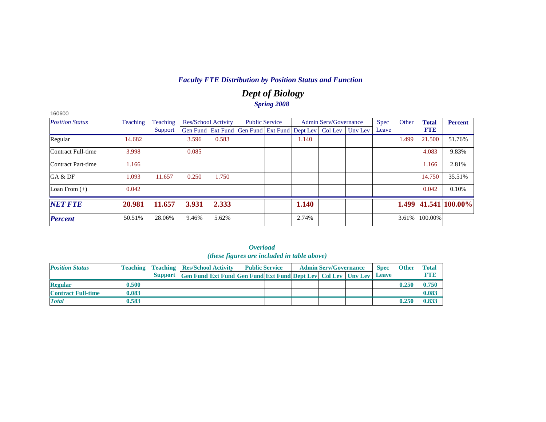## *Dept of Biology Spring 2008*

| 160600                 |          |          |                            |       |                                                                  |       |                              |       |       |              |                |
|------------------------|----------|----------|----------------------------|-------|------------------------------------------------------------------|-------|------------------------------|-------|-------|--------------|----------------|
| <b>Position Status</b> | Teaching | Teaching | <b>Res/School Activity</b> |       | <b>Public Service</b>                                            |       | <b>Admin Serv/Governance</b> | Spec  | Other | <b>Total</b> | <b>Percent</b> |
|                        |          | Support  |                            |       | Gen Fund Ext Fund Gen Fund Ext Fund Dept Lev   Col Lev   Unv Lev |       |                              | Leave |       | <b>FTE</b>   |                |
| Regular                | 14.682   |          | 3.596                      | 0.583 |                                                                  | 1.140 |                              |       | 1.499 | 21.500       | 51.76%         |
| Contract Full-time     | 3.998    |          | 0.085                      |       |                                                                  |       |                              |       |       | 4.083        | 9.83%          |
| Contract Part-time     | 1.166    |          |                            |       |                                                                  |       |                              |       |       | 1.166        | 2.81%          |
| GA & DF                | 1.093    | 11.657   | 0.250                      | 1.750 |                                                                  |       |                              |       |       | 14.750       | 35.51%         |
| Loan From $(+)$        | 0.042    |          |                            |       |                                                                  |       |                              |       |       | 0.042        | 0.10%          |
| <b>NET FTE</b>         | 20.981   | 11.657   | 3.931                      | 2.333 |                                                                  | 1.140 |                              |       | 1.499 |              | 41.541 100.00% |
| <b>Percent</b>         | 50.51%   | 28.06%   | 9.46%                      | 5.62% |                                                                  | 2.74% |                              |       | 3.61% | 100.00%      |                |

|                           |       |                                                    |                                                              | <i>(these figures are included in table above)</i> |  |                              |             |              |              |
|---------------------------|-------|----------------------------------------------------|--------------------------------------------------------------|----------------------------------------------------|--|------------------------------|-------------|--------------|--------------|
| <b>Position Status</b>    |       | <b>Teaching   Teaching   Res/School Activity  </b> |                                                              | <b>Public Service</b>                              |  | <b>Admin Serv/Governance</b> | <b>Spec</b> | <b>Other</b> | <b>Total</b> |
|                           |       | <b>Support</b>                                     | Gen Fund Ext Fund Gen Fund Ext Fund Dept Lev Col Lev Unv Lev |                                                    |  |                              | Leave       |              | <b>FTID</b>  |
| <b>Regular</b>            | 0.500 |                                                    |                                                              |                                                    |  |                              |             | 0.250        | 0.750        |
| <b>Contract Full-time</b> | 0.083 |                                                    |                                                              |                                                    |  |                              |             |              | 0.083        |
| <b>Total</b>              | 0.583 |                                                    |                                                              |                                                    |  |                              |             | 0.250        | 0.833        |

| <i><b>Overload</b></i>                      |  |  |  |  |  |  |  |  |  |  |  |  |
|---------------------------------------------|--|--|--|--|--|--|--|--|--|--|--|--|
| (these figures are included in table above) |  |  |  |  |  |  |  |  |  |  |  |  |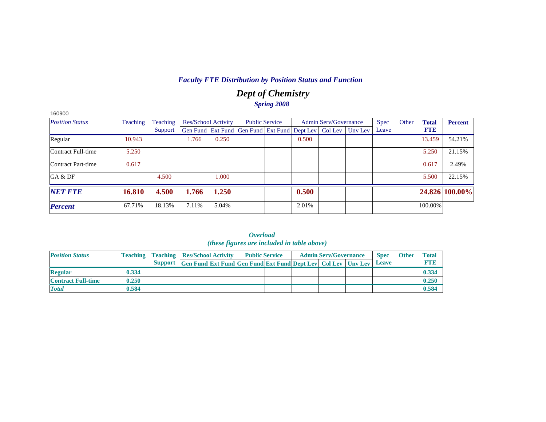## *Dept of Chemistry Spring 2008*

| 160900                 |          |          |       |                            |                                                                          |       |                              |             |       |              |                |
|------------------------|----------|----------|-------|----------------------------|--------------------------------------------------------------------------|-------|------------------------------|-------------|-------|--------------|----------------|
| <b>Position Status</b> | Teaching | Teaching |       | <b>Res/School Activity</b> | <b>Public Service</b>                                                    |       | <b>Admin Serv/Governance</b> | <b>Spec</b> | Other | <b>Total</b> | <b>Percent</b> |
|                        |          | Support  |       |                            | Gen Fund   Ext Fund   Gen Fund   Ext Fund   Dept Lev   Col Lev   Unv Lev |       |                              | Leave       |       | <b>FTE</b>   |                |
| Regular                | 10.943   |          | 1.766 | 0.250                      |                                                                          | 0.500 |                              |             |       | 13.459       | 54.21%         |
| Contract Full-time     | 5.250    |          |       |                            |                                                                          |       |                              |             |       | 5.250        | 21.15%         |
| Contract Part-time     | 0.617    |          |       |                            |                                                                          |       |                              |             |       | 0.617        | 2.49%          |
| GA & DF                |          | 4.500    |       | .000                       |                                                                          |       |                              |             |       | 5.500        | 22.15%         |
| <b>NET FTE</b>         | 16.810   | 4.500    | 1.766 | 1.250                      |                                                                          | 0.500 |                              |             |       |              | 24.826 100.00% |
| <b>Percent</b>         | 67.71%   | 18.13%   | 7.11% | 5.04%                      |                                                                          | 2.01% |                              |             |       | 100.00%      |                |

|                           |       |                                                    |                                                                           | ( <i>these figures are included in table above</i> ) |  |                              |             |              |              |
|---------------------------|-------|----------------------------------------------------|---------------------------------------------------------------------------|------------------------------------------------------|--|------------------------------|-------------|--------------|--------------|
| <b>Position Status</b>    |       | <b>Teaching   Teaching   Res/School Activity  </b> |                                                                           | <b>Public Service</b>                                |  | <b>Admin Serv/Governance</b> | <b>Spec</b> | <b>Other</b> | <b>Total</b> |
|                           |       | Support                                            | <b>Gen Fund Ext Fund Gen Fund Ext Fund Dept Lev Col Lev Unv Lev Leave</b> |                                                      |  |                              |             |              | <b>FTID</b>  |
| <b>Regular</b>            | 0.334 |                                                    |                                                                           |                                                      |  |                              |             |              | 0.334        |
| <b>Contract Full-time</b> | 0.250 |                                                    |                                                                           |                                                      |  |                              |             |              | 0.250        |
| <b>Total</b>              | 0.584 |                                                    |                                                                           |                                                      |  |                              |             |              | 0.584        |

*Overload*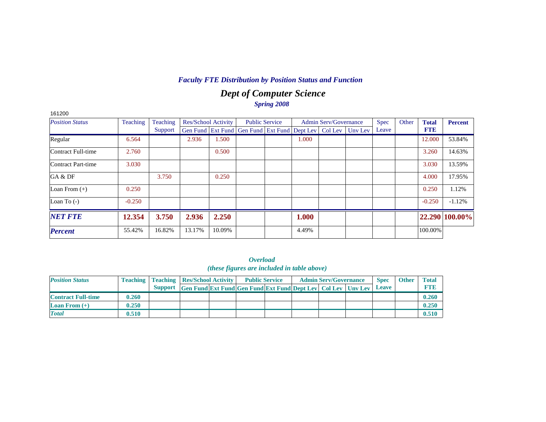## *Dept of Computer Science Spring 2008*

| 161200                 |          |          |        |                            |                                                                  |                       |       |                              |             |       |              |                |
|------------------------|----------|----------|--------|----------------------------|------------------------------------------------------------------|-----------------------|-------|------------------------------|-------------|-------|--------------|----------------|
| <b>Position Status</b> | Teaching | Teaching |        | <b>Res/School Activity</b> |                                                                  | <b>Public Service</b> |       | <b>Admin Serv/Governance</b> | <b>Spec</b> | Other | <b>Total</b> | <b>Percent</b> |
|                        |          | Support  |        |                            | Gen Fund Ext Fund Gen Fund Ext Fund Dept Lev   Col Lev   Unv Lev |                       |       |                              | Leave       |       | <b>FTE</b>   |                |
| Regular                | 6.564    |          | 2.936  | 1.500                      |                                                                  |                       | 1.000 |                              |             |       | 12.000       | 53.84%         |
| Contract Full-time     | 2.760    |          |        | 0.500                      |                                                                  |                       |       |                              |             |       | 3.260        | 14.63%         |
| Contract Part-time     | 3.030    |          |        |                            |                                                                  |                       |       |                              |             |       | 3.030        | 13.59%         |
| GA & DF                |          | 3.750    |        | 0.250                      |                                                                  |                       |       |                              |             |       | 4.000        | 17.95%         |
| Loan From $(+)$        | 0.250    |          |        |                            |                                                                  |                       |       |                              |             |       | 0.250        | 1.12%          |
| Loan To $(-)$          | $-0.250$ |          |        |                            |                                                                  |                       |       |                              |             |       | $-0.250$     | $-1.12%$       |
| <b>NET FTE</b>         | 12.354   | 3.750    | 2.936  | 2.250                      |                                                                  |                       | 1.000 |                              |             |       |              | 22.290 100.00% |
| <b>Percent</b>         | 55.42%   | 16.82%   | 13.17% | 10.09%                     |                                                                  |                       | 4.49% |                              |             |       | 100.00%      |                |

*Overload (these figures are included in table above)*

| <b>Position Status</b>    | <b>Teaching</b> | <b>Teaching Res/School Activity</b> |                                                                           | <b>Public Service</b> |  | <b>Admin Serv/Governance</b> | <b>Spec</b>  | <b>Other</b> | <b>Total</b> |
|---------------------------|-----------------|-------------------------------------|---------------------------------------------------------------------------|-----------------------|--|------------------------------|--------------|--------------|--------------|
|                           |                 | <b>Support</b>                      | <b>Gen Fund Ext Fund Gen Fund Ext Fund Dept Lev   Col Lev   Unv Lev  </b> |                       |  |                              | <b>Leave</b> |              | ETH          |
| <b>Contract Full-time</b> | 0.260           |                                     |                                                                           |                       |  |                              |              |              | 0.260        |
| <b>Loan From</b> $(+)$    | 0.250           |                                     |                                                                           |                       |  |                              |              |              | 0.250        |
| <b>Total</b>              | 0.510           |                                     |                                                                           |                       |  |                              |              |              | 0.510        |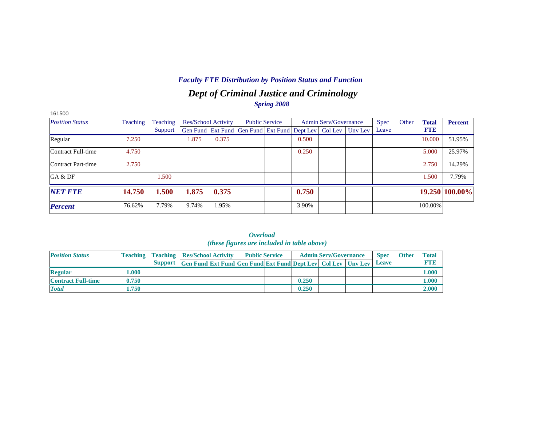## *Dept of Criminal Justice and Criminology*

*Spring 2008*

| 161500                 |          |          |       |                            |                                                                |       |                              |         |             |       |              |                |
|------------------------|----------|----------|-------|----------------------------|----------------------------------------------------------------|-------|------------------------------|---------|-------------|-------|--------------|----------------|
| <b>Position Status</b> | Teaching | Teaching |       | <b>Res/School Activity</b> | <b>Public Service</b>                                          |       | <b>Admin Serv/Governance</b> |         | <b>Spec</b> | Other | <b>Total</b> | <b>Percent</b> |
|                        |          | Support  |       |                            | Gen Fund   Ext Fund   Gen Fund   Ext Fund   Dept Lev   Col Lev |       |                              | Uny Lev | Leave       |       | <b>FTE</b>   |                |
| Regular                | 7.250    |          | 1.875 | 0.375                      |                                                                | 0.500 |                              |         |             |       | 10.000       | 51.95%         |
| Contract Full-time     | 4.750    |          |       |                            |                                                                | 0.250 |                              |         |             |       | 5.000        | 25.97%         |
| Contract Part-time     | 2.750    |          |       |                            |                                                                |       |                              |         |             |       | 2.750        | 14.29%         |
| GA & DF                |          | 1.500    |       |                            |                                                                |       |                              |         |             |       | 1.500        | 7.79%          |
| <b>NET FTE</b>         | 14.750   | 1.500    | 1.875 | 0.375                      |                                                                | 0.750 |                              |         |             |       |              | 19.250 100.00% |
| <b>Percent</b>         | 76.62%   | 7.79%    | 9.74% | 1.95%                      |                                                                | 3.90% |                              |         |             |       | 100.00%      |                |

|                           |                 |                |                                                                                 | (these figures are included in table above) |       |                              |             |              |              |
|---------------------------|-----------------|----------------|---------------------------------------------------------------------------------|---------------------------------------------|-------|------------------------------|-------------|--------------|--------------|
| <b>Position Status</b>    | <b>Teaching</b> |                | <b>Teaching Res/School Activity</b>                                             | <b>Public Service</b>                       |       | <b>Admin Serv/Governance</b> | <b>Spec</b> | <b>Other</b> | <b>Total</b> |
|                           |                 | <b>Support</b> | <b>Gen Fund Ext Fund Gen Fund Ext Fund Dept Lev   Col Lev   Unv Lev   Leave</b> |                                             |       |                              |             |              | <b>FTE</b>   |
| <b>Regular</b>            | 000.1           |                |                                                                                 |                                             |       |                              |             |              | <b>000.</b>  |
| <b>Contract Full-time</b> | 0.750           |                |                                                                                 |                                             | 0.250 |                              |             |              | 0.000        |
| <b>Total</b>              | 1.750           |                |                                                                                 |                                             | 0.250 |                              |             |              | 2.000        |

*Overload (these figures are included in table above)*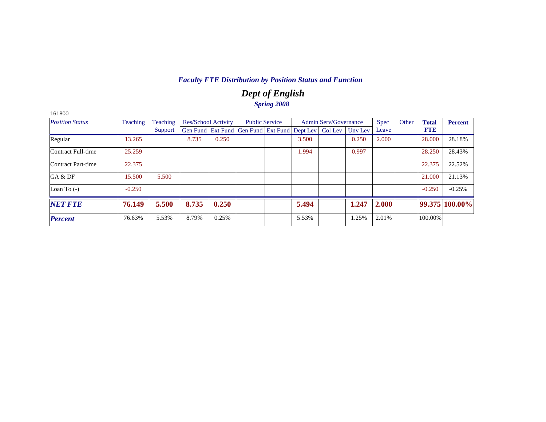## *Dept of English Spring 2008*

| 161800                 |          |          |       |                            |                                                                |       |                              |         |             |       |              |                |
|------------------------|----------|----------|-------|----------------------------|----------------------------------------------------------------|-------|------------------------------|---------|-------------|-------|--------------|----------------|
| <b>Position Status</b> | Teaching | Teaching |       | <b>Res/School Activity</b> | <b>Public Service</b>                                          |       | <b>Admin Serv/Governance</b> |         | <b>Spec</b> | Other | <b>Total</b> | Percent        |
|                        |          | Support  |       |                            | Gen Fund   Ext Fund   Gen Fund   Ext Fund   Dept Lev   Col Lev |       |                              | Uny Lev | Leave       |       | <b>FTE</b>   |                |
| Regular                | 13.265   |          | 8.735 | 0.250                      |                                                                | 3.500 |                              | 0.250   | 2.000       |       | 28,000       | 28.18%         |
| Contract Full-time     | 25.259   |          |       |                            |                                                                | 1.994 |                              | 0.997   |             |       | 28.250       | 28.43%         |
| Contract Part-time     | 22.375   |          |       |                            |                                                                |       |                              |         |             |       | 22.375       | 22.52%         |
| GA & DF                | 15.500   | 5.500    |       |                            |                                                                |       |                              |         |             |       | 21.000       | 21.13%         |
| Loan To $(-)$          | $-0.250$ |          |       |                            |                                                                |       |                              |         |             |       | $-0.250$     | $-0.25%$       |
| <b>NET FTE</b>         | 76.149   | 5.500    | 8.735 | 0.250                      |                                                                | 5.494 |                              | 1.247   | 2.000       |       |              | 99.375 100.00% |
| <b>Percent</b>         | 76.63%   | 5.53%    | 8.79% | 0.25%                      |                                                                | 5.53% |                              | 1.25%   | 2.01%       |       | 100.00%      |                |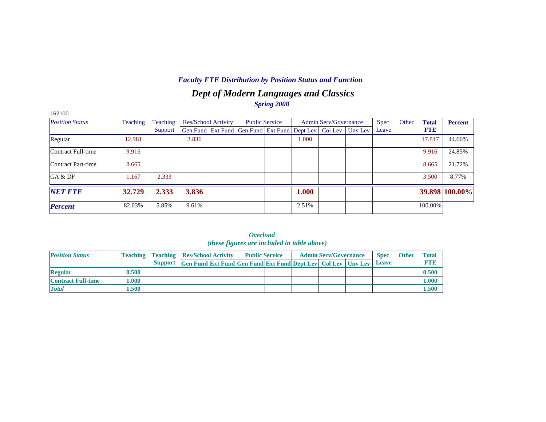## *Dept of Modern Languages and Classics Spring 2008*

| 162100                 |          |          |       |                     |                                                                |       |                              |         |             |       |              |                |
|------------------------|----------|----------|-------|---------------------|----------------------------------------------------------------|-------|------------------------------|---------|-------------|-------|--------------|----------------|
| <b>Position Status</b> | Teaching | Teaching |       | Res/School Activity | <b>Public Service</b>                                          |       | <b>Admin Serv/Governance</b> |         | <b>Spec</b> | Other | <b>Total</b> | <b>Percent</b> |
|                        |          | Support  |       |                     | Gen Fund   Ext Fund   Gen Fund   Ext Fund   Dept Lev   Col Lev |       |                              | Unv Lev | Leave       |       | <b>FTE</b>   |                |
| Regular                | 12.981   |          | 3.836 |                     |                                                                | 1.000 |                              |         |             |       | 17.817       | 44.66%         |
| Contract Full-time     | 9.916    |          |       |                     |                                                                |       |                              |         |             |       | 9.916        | 24.85%         |
| Contract Part-time     | 8.665    |          |       |                     |                                                                |       |                              |         |             |       | 8.665        | 21.72%         |
| GA & DF                | 1.167    | 2.333    |       |                     |                                                                |       |                              |         |             |       | 3.500        | 8.77%          |
| <b>NET FTE</b>         | 32.729   | 2.333    | 3.836 |                     |                                                                | 1.000 |                              |         |             |       |              | 39.898 100.00% |
| <b>Percent</b>         | 82.03%   | 5.85%    | 9.61% |                     |                                                                | 2.51% |                              |         |             |       | 100.00%      |                |

|                           |           |                                                    |                                                                     | <i>мениции</i><br>(these figures are included in table above) |  |                              |              |              |              |
|---------------------------|-----------|----------------------------------------------------|---------------------------------------------------------------------|---------------------------------------------------------------|--|------------------------------|--------------|--------------|--------------|
| <b>Position Status</b>    |           | <b>Teaching   Teaching   Res/School Activity  </b> |                                                                     | <b>Public Service</b>                                         |  | <b>Admin Serv/Governance</b> | <b>Spec</b>  | <b>Other</b> | <b>Total</b> |
|                           |           | <b>Support</b>                                     | <b>Gen Fund Ext Fund Gen Fund Ext Fund Dept Lev</b> Col Lev Unv Lev |                                                               |  |                              | <b>Leave</b> |              | <b>FTE</b>   |
| <b>Regular</b>            | 0.500     |                                                    |                                                                     |                                                               |  |                              |              |              | 0.500        |
| <b>Contract Full-time</b> | $1.000\,$ |                                                    |                                                                     |                                                               |  |                              |              |              | 1.000        |
| <b>Total</b>              | 1.500     |                                                    |                                                                     |                                                               |  |                              |              |              | 1.500        |

*Overload*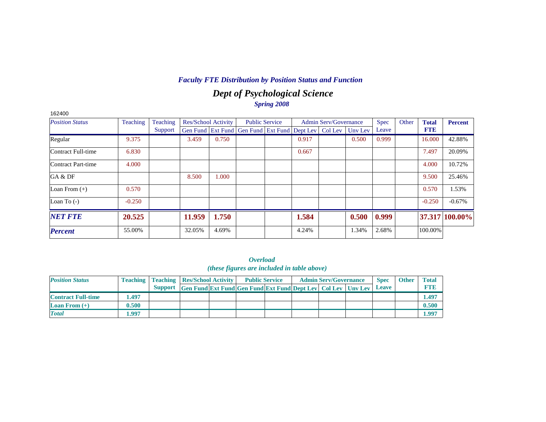## *Dept of Psychological Science Spring 2008*

| 162400                 |          |          |                     |       |                                                                |       |                              |         |             |       |              |                |
|------------------------|----------|----------|---------------------|-------|----------------------------------------------------------------|-------|------------------------------|---------|-------------|-------|--------------|----------------|
| <b>Position Status</b> | Teaching | Teaching | Res/School Activity |       | <b>Public Service</b>                                          |       | <b>Admin Serv/Governance</b> |         | <b>Spec</b> | Other | <b>Total</b> | <b>Percent</b> |
|                        |          | Support  |                     |       | Gen Fund   Ext Fund   Gen Fund   Ext Fund   Dept Lev   Col Lev |       |                              | Unv Lev | Leave       |       | <b>FTE</b>   |                |
| Regular                | 9.375    |          | 3.459               | 0.750 |                                                                | 0.917 |                              | 0.500   | 0.999       |       | 16.000       | 42.88%         |
| Contract Full-time     | 6.830    |          |                     |       |                                                                | 0.667 |                              |         |             |       | 7.497        | 20.09%         |
| Contract Part-time     | 4.000    |          |                     |       |                                                                |       |                              |         |             |       | 4.000        | 10.72%         |
| GA & DF                |          |          | 8.500               | 1.000 |                                                                |       |                              |         |             |       | 9.500        | 25.46%         |
| Loan From $(+)$        | 0.570    |          |                     |       |                                                                |       |                              |         |             |       | 0.570        | 1.53%          |
| Loan To $(-)$          | $-0.250$ |          |                     |       |                                                                |       |                              |         |             |       | $-0.250$     | $-0.67%$       |
| <b>NET FTE</b>         | 20.525   |          | 11.959              | 1.750 |                                                                | 1.584 |                              | 0.500   | 0.999       |       |              | 37.317 100.00% |
| <b>Percent</b>         | 55.00%   |          | 32.05%              | 4.69% |                                                                | 4.24% |                              | 1.34%   | 2.68%       |       | 100.00%      |                |

*Overload (these figures are included in table above)*

| <b>Position Status</b>    |       | <b>Teaching   Teaching   Res/School Activity  </b> |                                                                     | <b>Public Service</b> |  | <b>Admin Serv/Governance</b> | <b>Spec</b>  | <b>Other</b> | <b>Total</b> |
|---------------------------|-------|----------------------------------------------------|---------------------------------------------------------------------|-----------------------|--|------------------------------|--------------|--------------|--------------|
|                           |       | <b>Support</b>                                     | <b>Gen Fund Ext Fund Gen Fund Ext Fund Dept Lev Col Lev Unv Lev</b> |                       |  |                              | <b>Leave</b> |              | FTI          |
| <b>Contract Full-time</b> | .497  |                                                    |                                                                     |                       |  |                              |              |              | 1.497        |
| <b>Loan From</b> $(+)$    | 0.500 |                                                    |                                                                     |                       |  |                              |              |              | 0.500        |
| <b>Total</b>              | .997  |                                                    |                                                                     |                       |  |                              |              |              | 1.997        |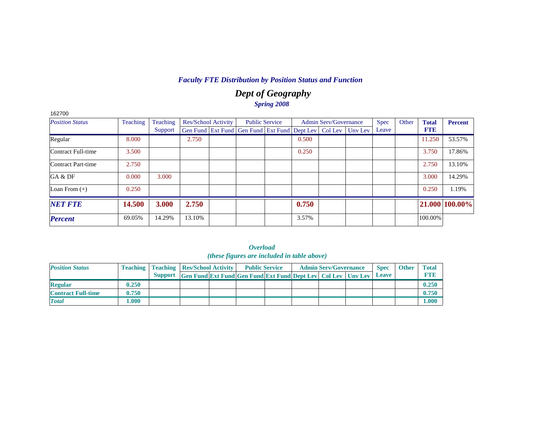### *Dept of Geography Spring 2008*

| 162700                    |                 |          |        |                            |                                                                  |       |                              |             |       |              |                |
|---------------------------|-----------------|----------|--------|----------------------------|------------------------------------------------------------------|-------|------------------------------|-------------|-------|--------------|----------------|
| <b>Position Status</b>    | <b>Teaching</b> | Teaching |        | <b>Res/School Activity</b> | <b>Public Service</b>                                            |       | <b>Admin Serv/Governance</b> | <b>Spec</b> | Other | <b>Total</b> | <b>Percent</b> |
|                           |                 | Support  |        |                            | Gen Fund Ext Fund Gen Fund Ext Fund Dept Lev   Col Lev   Unv Lev |       |                              | Leave       |       | <b>FTE</b>   |                |
| Regular                   | 8.000           |          | 2.750  |                            |                                                                  | 0.500 |                              |             |       | 11.250       | 53.57%         |
| <b>Contract Full-time</b> | 3.500           |          |        |                            |                                                                  | 0.250 |                              |             |       | 3.750        | 17.86%         |
| Contract Part-time        | 2.750           |          |        |                            |                                                                  |       |                              |             |       | 2.750        | 13.10%         |
| GA & DF                   | 0.000           | 3.000    |        |                            |                                                                  |       |                              |             |       | 3.000        | 14.29%         |
| Loan From $(+)$           | 0.250           |          |        |                            |                                                                  |       |                              |             |       | 0.250        | 1.19%          |
| <b>NET FTE</b>            | 14.500          | 3.000    | 2.750  |                            |                                                                  | 0.750 |                              |             |       |              | 21.000 100.00% |
| <b>Percent</b>            | 69.05%          | 14.29%   | 13.10% |                            |                                                                  | 3.57% |                              |             |       | 100.00%      |                |

|                           |       |                                                    |                                                                      | <i>(these figures are included in table above)</i> |  |                              |              |              |              |
|---------------------------|-------|----------------------------------------------------|----------------------------------------------------------------------|----------------------------------------------------|--|------------------------------|--------------|--------------|--------------|
| <b>Position Status</b>    |       | <b>Teaching   Teaching   Res/School Activity  </b> |                                                                      | <b>Public Service</b>                              |  | <b>Admin Serv/Governance</b> | <b>Spec</b>  | <b>Other</b> | <b>Total</b> |
|                           |       |                                                    | Support Gen Fund Ext Fund Gen Fund Ext Fund Dept Lev Col Lev Unv Lev |                                                    |  |                              | <b>Leave</b> |              | <b>FTID</b>  |
| <b>Regular</b>            | 0.250 |                                                    |                                                                      |                                                    |  |                              |              |              | 0.250        |
| <b>Contract Full-time</b> | 0.750 |                                                    |                                                                      |                                                    |  |                              |              |              | 0.750        |
| <b>Total</b>              | 1.000 |                                                    |                                                                      |                                                    |  |                              |              |              | 1.000        |

|                                             | <i><b>Overload</b></i> |  |  |
|---------------------------------------------|------------------------|--|--|
| (these figures are included in table above) |                        |  |  |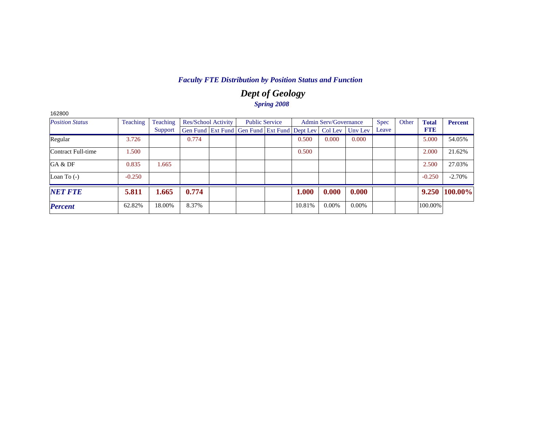## *Dept of Geology Spring 2008*

| <b>Position Status</b> | <b>Teaching</b> | Teaching | <b>Res/School Activity</b> |                                                                | <b>Public Service</b> |        | <b>Admin Serv/Governance</b> |          | <b>Spec</b> | Other | <b>Total</b> | <b>Percent</b> |
|------------------------|-----------------|----------|----------------------------|----------------------------------------------------------------|-----------------------|--------|------------------------------|----------|-------------|-------|--------------|----------------|
|                        |                 | Support  |                            | Gen Fund   Ext Fund   Gen Fund   Ext Fund   Dept Lev   Col Lev |                       |        |                              | Unv Lev  | Leave       |       | <b>FTE</b>   |                |
| Regular                | 3.726           |          | 0.774                      |                                                                |                       | 0.500  | 0.000                        | 0.000    |             |       | 5.000        | 54.05%         |
| Contract Full-time     | 1.500           |          |                            |                                                                |                       | 0.500  |                              |          |             |       | 2.000        | 21.62%         |
| GA & DF                | 0.835           | 1.665    |                            |                                                                |                       |        |                              |          |             |       | 2.500        | 27.03%         |
| Loan To $(-)$          | $-0.250$        |          |                            |                                                                |                       |        |                              |          |             |       | $-0.250$     | $-2.70%$       |
| <b>NET FTE</b>         | 5.811           | 1.665    | 0.774                      |                                                                |                       | 1.000  | 0.000                        | 0.000    |             |       | 9.250        | 100.00%        |
| <b>Percent</b>         | 62.82%          | 18.00%   | 8.37%                      |                                                                |                       | 10.81% | 0.00%                        | $0.00\%$ |             |       | 100.00%      |                |

162800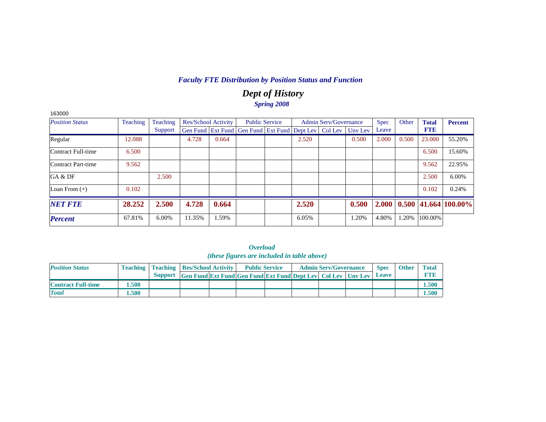### *Dept of History Spring 2008*

| 163000                 |          |          |                            |       |                                                                |       |                              |         |             |       |              |                            |
|------------------------|----------|----------|----------------------------|-------|----------------------------------------------------------------|-------|------------------------------|---------|-------------|-------|--------------|----------------------------|
| <b>Position Status</b> | Teaching | Teaching | <b>Res/School Activity</b> |       | <b>Public Service</b>                                          |       | <b>Admin Serv/Governance</b> |         | <b>Spec</b> | Other | <b>Total</b> | <b>Percent</b>             |
|                        |          | Support  |                            |       | Gen Fund   Ext Fund   Gen Fund   Ext Fund   Dept Lev   Col Lev |       |                              | Unv Lev | Leave       |       | <b>FTE</b>   |                            |
| Regular                | 12.088   |          | 4.728                      | 0.664 |                                                                | 2.520 |                              | 0.500   | 2.000       | 0.500 | 23.000       | 55.20%                     |
| Contract Full-time     | 6.500    |          |                            |       |                                                                |       |                              |         |             |       | 6.500        | 15.60%                     |
| Contract Part-time     | 9.562    |          |                            |       |                                                                |       |                              |         |             |       | 9.562        | 22.95%                     |
| GA & DF                |          | 2.500    |                            |       |                                                                |       |                              |         |             |       | 2.500        | 6.00%                      |
| Loan From $(+)$        | 0.102    |          |                            |       |                                                                |       |                              |         |             |       | 0.102        | 0.24%                      |
| <b>NET FTE</b>         | 28.252   | 2.500    | 4.728                      | 0.664 |                                                                | 2.520 |                              | 0.500   | 2.000       |       |              | $0.500$   41.664   100.00% |
| <b>Percent</b>         | 67.81%   | 6.00%    | 11.35%                     | 1.59% |                                                                | 6.05% |                              | 1.20%   | 4.80%       | 1.20% | 100.00%      |                            |

|                           |       |                                                    |                                                                      | <i>(these figures are included in table above)</i> |  |                              |              |              |              |
|---------------------------|-------|----------------------------------------------------|----------------------------------------------------------------------|----------------------------------------------------|--|------------------------------|--------------|--------------|--------------|
| <b>Position Status</b>    |       | <b>Teaching   Teaching   Res/School Activity  </b> |                                                                      | <b>Public Service</b>                              |  | <b>Admin Serv/Governance</b> | <b>Spec</b>  | <b>Other</b> | <b>Total</b> |
|                           |       |                                                    | Support Gen Fund Ext Fund Gen Fund Ext Fund Dept Lev Col Lev Unv Lev |                                                    |  |                              | <b>Leave</b> |              | <b>FTIB</b>  |
| <b>Contract Full-time</b> | .500  |                                                    |                                                                      |                                                    |  |                              |              |              | 1.500        |
| <b>Total</b>              | 1.500 |                                                    |                                                                      |                                                    |  |                              |              |              | 1.500        |

|                                            | Overload |  |  |
|--------------------------------------------|----------|--|--|
| (these figures are included in table above |          |  |  |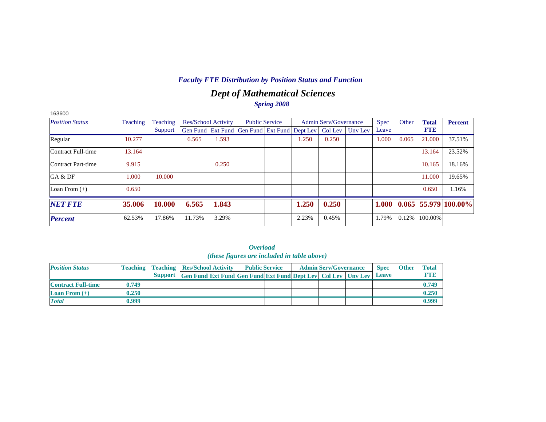## *Dept of Mathematical Sciences Spring 2008*

| 163600                 |          |          |                            |       |                                                                |       |                              |         |             |       |              |                        |
|------------------------|----------|----------|----------------------------|-------|----------------------------------------------------------------|-------|------------------------------|---------|-------------|-------|--------------|------------------------|
| <b>Position Status</b> | Teaching | Teaching | <b>Res/School Activity</b> |       | <b>Public Service</b>                                          |       | <b>Admin Serv/Governance</b> |         | <b>Spec</b> | Other | <b>Total</b> | <b>Percent</b>         |
|                        |          | Support  |                            |       | Gen Fund   Ext Fund   Gen Fund   Ext Fund   Dept Lev   Col Lev |       |                              | Uny Lev | Leave       |       | <b>FTE</b>   |                        |
| Regular                | 10.277   |          | 6.565                      | 1.593 |                                                                | 1.250 | 0.250                        |         | 1.000       | 0.065 | 21.000       | 37.51%                 |
| Contract Full-time     | 13.164   |          |                            |       |                                                                |       |                              |         |             |       | 13.164       | 23.52%                 |
| Contract Part-time     | 9.915    |          |                            | 0.250 |                                                                |       |                              |         |             |       | 10.165       | 18.16%                 |
| GA & DF                | 1.000    | 10.000   |                            |       |                                                                |       |                              |         |             |       | 11.000       | 19.65%                 |
| Loan From $(+)$        | 0.650    |          |                            |       |                                                                |       |                              |         |             |       | 0.650        | 1.16%                  |
| <b>NET FTE</b>         | 35.006   | 10.000   | 6.565                      | 1.843 |                                                                | 1.250 | 0.250                        |         | 1.000       |       |              | $0.065$ 55.979 100.00% |
| <b>Percent</b>         | 62.53%   | 17.86%   | 11.73%                     | 3.29% |                                                                | 2.23% | 0.45%                        |         | 1.79%       | 0.12% | 100.00%      |                        |

| <i>(these figures are included in table above)</i> |       |                                                    |                                                                      |  |                       |  |  |                              |  |              |              |              |  |  |
|----------------------------------------------------|-------|----------------------------------------------------|----------------------------------------------------------------------|--|-----------------------|--|--|------------------------------|--|--------------|--------------|--------------|--|--|
| <b>Position Status</b>                             |       | <b>Teaching   Teaching   Res/School Activity  </b> |                                                                      |  | <b>Public Service</b> |  |  | <b>Admin Serv/Governance</b> |  | <b>Spec</b>  | <b>Other</b> | <b>Total</b> |  |  |
|                                                    |       |                                                    | Support Gen Fund Ext Fund Gen Fund Ext Fund Dept Lev Col Lev Unv Lev |  |                       |  |  |                              |  | <b>Leave</b> |              | <b>FTE</b>   |  |  |
| <b>Contract Full-time</b>                          | 0.749 |                                                    |                                                                      |  |                       |  |  |                              |  |              |              | 0.749        |  |  |
| Loan From $(+)$                                    | 0.250 |                                                    |                                                                      |  |                       |  |  |                              |  |              |              | 0.250        |  |  |

*Total* **0.999 0.999**

|                                                     | Overload |  |  |
|-----------------------------------------------------|----------|--|--|
| <i>(these figures are included in table above</i> ) |          |  |  |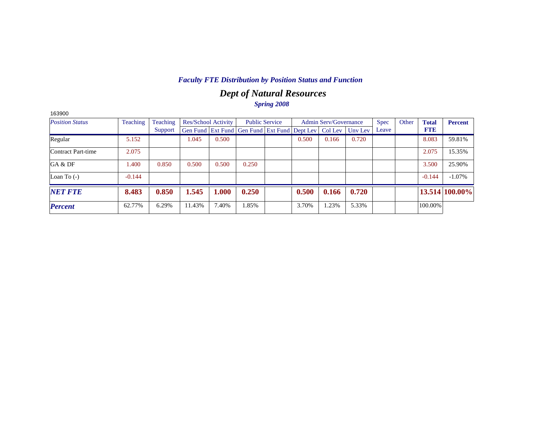## *Dept of Natural Resources Spring 2008*

| <b>Position Status</b> | Teaching | Teaching |        | Res/School Activity |                                                                | <b>Public Service</b> |       | <b>Admin Serv/Governance</b> |         | <b>Spec</b> | Other | <b>Total</b> | <b>Percent</b> |
|------------------------|----------|----------|--------|---------------------|----------------------------------------------------------------|-----------------------|-------|------------------------------|---------|-------------|-------|--------------|----------------|
|                        |          | Support  |        |                     | Gen Fund   Ext Fund   Gen Fund   Ext Fund   Dept Lev   Col Lev |                       |       |                              | Unv Lev | Leave       |       | <b>FTE</b>   |                |
| Regular                | 5.152    |          | 1.045  | 0.500               |                                                                |                       | 0.500 | 0.166                        | 0.720   |             |       | 8.083        | 59.81%         |
| Contract Part-time     | 2.075    |          |        |                     |                                                                |                       |       |                              |         |             |       | 2.075        | 15.35%         |
| GA & DF                | 1.400    | 0.850    | 0.500  | 0.500               | 0.250                                                          |                       |       |                              |         |             |       | 3.500        | 25.90%         |
| Loan To $(-)$          | $-0.144$ |          |        |                     |                                                                |                       |       |                              |         |             |       | $-0.144$     | $-1.07\%$      |
| <b>NET FTE</b>         | 8.483    | 0.850    | 1.545  | 1.000               | 0.250                                                          |                       | 0.500 | 0.166                        | 0.720   |             |       |              | 13.514 100.00% |
| <b>Percent</b>         | 62.77%   | 6.29%    | 11.43% | 7.40%               | 1.85%                                                          |                       | 3.70% | .23%                         | 5.33%   |             |       | 100.00%      |                |

163900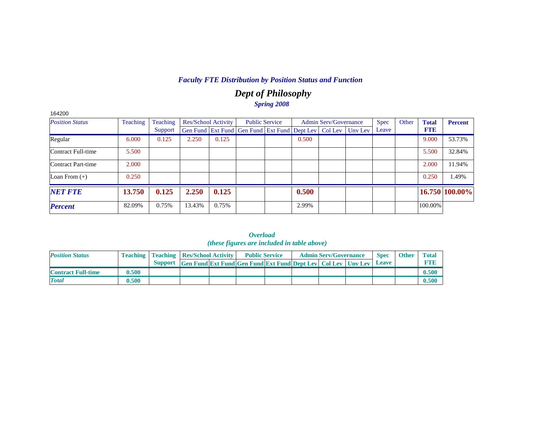## *Dept of Philosophy Spring 2008*

| 164200                 |          |          |        |                            |                                                                          |       |                              |             |       |              |                |
|------------------------|----------|----------|--------|----------------------------|--------------------------------------------------------------------------|-------|------------------------------|-------------|-------|--------------|----------------|
| <b>Position Status</b> | Teaching | Teaching |        | <b>Res/School Activity</b> | <b>Public Service</b>                                                    |       | <b>Admin Serv/Governance</b> | <b>Spec</b> | Other | <b>Total</b> | <b>Percent</b> |
|                        |          | Support  |        |                            | Gen Fund   Ext Fund   Gen Fund   Ext Fund   Dept Lev   Col Lev   Unv Lev |       |                              | Leave       |       | <b>FTE</b>   |                |
| Regular                | 6.000    | 0.125    | 2.250  | 0.125                      |                                                                          | 0.500 |                              |             |       | 9.000        | 53.73%         |
| Contract Full-time     | 5.500    |          |        |                            |                                                                          |       |                              |             |       | 5.500        | 32.84%         |
| Contract Part-time     | 2.000    |          |        |                            |                                                                          |       |                              |             |       | 2.000        | 11.94%         |
| Loan From $(+)$        | 0.250    |          |        |                            |                                                                          |       |                              |             |       | 0.250        | 1.49%          |
| <b>NET FTE</b>         | 13.750   | 0.125    | 2.250  | 0.125                      |                                                                          | 0.500 |                              |             |       |              | 16.750 100.00% |
| <b>Percent</b>         | 82.09%   | 0.75%    | 13.43% | 0.75%                      |                                                                          | 2.99% |                              |             |       | 100.00%      |                |

| <i><b>Overload</b></i><br><i>(these figures are included in table above)</i> |  |  |                                                                                                                                                                      |  |                              |                      |  |  |  |  |  |  |  |
|------------------------------------------------------------------------------|--|--|----------------------------------------------------------------------------------------------------------------------------------------------------------------------|--|------------------------------|----------------------|--|--|--|--|--|--|--|
|                                                                              |  |  | <b>Teaching   Teaching   Res/School Activity   Public Service</b>                                                                                                    |  | <b>Admin Serv/Governance</b> | <b>Spec</b>          |  |  |  |  |  |  |  |
|                                                                              |  |  | $\mathcal{C}_{\text{unroot}}$ of $\mathcal{C}_{\text{unroot}}$ and $\mathcal{C}_{\text{unroot}}$ and $\mathcal{C}_{\text{unroot}}$ and $\mathcal{C}_{\text{unroot}}$ |  | $\sim$ $\sim$                | $\sim$ $\sim$ $\sim$ |  |  |  |  |  |  |  |

| <b>Position Status</b>    | <b>Teaching</b> | <b>Teaching Res/School Activity</b> |                                                                             | <b>Public Service</b> |  | <b>Admin Serv/Governance</b> | <b>Spec</b>  | <b>Other</b> | <b>Total</b> |
|---------------------------|-----------------|-------------------------------------|-----------------------------------------------------------------------------|-----------------------|--|------------------------------|--------------|--------------|--------------|
|                           |                 |                                     | <b>Support</b> Gen Fund Ext Fund Gen Fund Ext Fund Dept Lev Col Lev Unv Lev |                       |  |                              | <b>Leave</b> |              | <b>FTIE</b>  |
| <b>Contract Full-time</b> | 0.500           |                                     |                                                                             |                       |  |                              |              |              | 0.500        |
| <b>Total</b>              | 0.500           |                                     |                                                                             |                       |  |                              |              |              | 0.500        |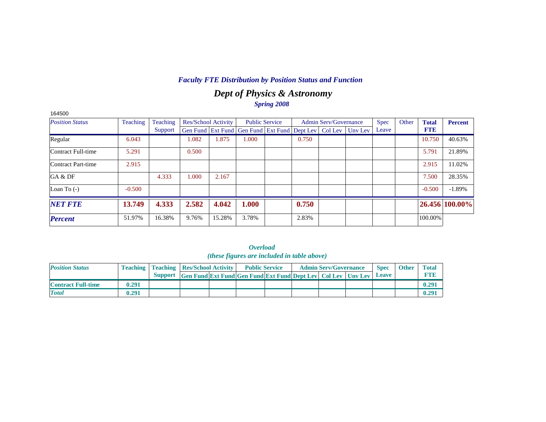## *Dept of Physics & Astronomy Spring 2008*

| 164500                    |          |          |       |                            |                                                                |       |                              |         |             |       |              |                |
|---------------------------|----------|----------|-------|----------------------------|----------------------------------------------------------------|-------|------------------------------|---------|-------------|-------|--------------|----------------|
| <b>Position Status</b>    | Teaching | Teaching |       | <b>Res/School Activity</b> | <b>Public Service</b>                                          |       | <b>Admin Serv/Governance</b> |         | <b>Spec</b> | Other | <b>Total</b> | <b>Percent</b> |
|                           |          | Support  |       |                            | Gen Fund   Ext Fund   Gen Fund   Ext Fund   Dept Lev   Col Lev |       |                              | Unv Lev | Leave       |       | <b>FTE</b>   |                |
| Regular                   | 6.043    |          | 1.082 | 1.875                      | .000.                                                          | 0.750 |                              |         |             |       | 10.750       | 40.63%         |
| <b>Contract Full-time</b> | 5.291    |          | 0.500 |                            |                                                                |       |                              |         |             |       | 5.791        | 21.89%         |
| Contract Part-time        | 2.915    |          |       |                            |                                                                |       |                              |         |             |       | 2.915        | 11.02%         |
| GA & DF                   |          | 4.333    | 1.000 | 2.167                      |                                                                |       |                              |         |             |       | 7.500        | 28.35%         |
| Loan To $(-)$             | $-0.500$ |          |       |                            |                                                                |       |                              |         |             |       | $-0.500$     | $-1.89%$       |
| <b>NET FTE</b>            | 13.749   | 4.333    | 2.582 | 4.042                      | 1.000                                                          | 0.750 |                              |         |             |       |              | 26.456 100.00% |
| <b>Percent</b>            | 51.97%   | 16.38%   | 9.76% | 15.28%                     | 3.78%                                                          | 2.83% |                              |         |             |       | 100.00%      |                |

| ( <i>these figures are included in table above</i> ) |       |  |                                                    |  |                                                                            |  |  |                              |  |             |              |              |  |
|------------------------------------------------------|-------|--|----------------------------------------------------|--|----------------------------------------------------------------------------|--|--|------------------------------|--|-------------|--------------|--------------|--|
| <b>Position Status</b>                               |       |  | <b>Teaching   Teaching   Res/School Activity  </b> |  | <b>Public Service</b>                                                      |  |  | <b>Admin Serv/Governance</b> |  | <b>Spec</b> | <b>Other</b> | <b>Total</b> |  |
|                                                      |       |  |                                                    |  | Support Gen Fund Ext Fund Gen Fund Ext Fund Dept Lev Col Lev Unv Lev Leave |  |  |                              |  |             |              | <b>FTE</b>   |  |
| <b>Contract Full-time</b>                            | 0.291 |  |                                                    |  |                                                                            |  |  |                              |  |             |              | 0.291        |  |
| <b>Total</b>                                         | 0.291 |  |                                                    |  |                                                                            |  |  |                              |  |             |              | 0.291        |  |

| <i><b>Overload</b></i>                     |  |  |  |  |  |  |  |  |  |  |  |  |  |
|--------------------------------------------|--|--|--|--|--|--|--|--|--|--|--|--|--|
| these figures are included in table above) |  |  |  |  |  |  |  |  |  |  |  |  |  |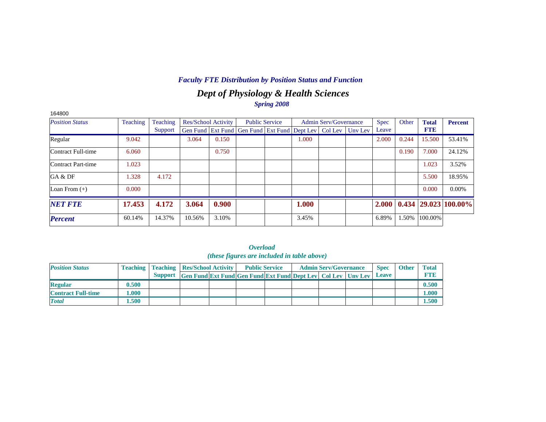## *Dept of Physiology & Health Sciences Spring 2008*

| 164800                 |          |          |        |                            |                                                                |       |                              |         |             |       |              |                            |
|------------------------|----------|----------|--------|----------------------------|----------------------------------------------------------------|-------|------------------------------|---------|-------------|-------|--------------|----------------------------|
| <b>Position Status</b> | Teaching | Teaching |        | <b>Res/School Activity</b> | <b>Public Service</b>                                          |       | <b>Admin Serv/Governance</b> |         | <b>Spec</b> | Other | <b>Total</b> | <b>Percent</b>             |
|                        |          | Support  |        |                            | Gen Fund   Ext Fund   Gen Fund   Ext Fund   Dept Lev   Col Lev |       |                              | Unv Lev | Leave       |       | <b>FTE</b>   |                            |
| Regular                | 9.042    |          | 3.064  | 0.150                      |                                                                | 1.000 |                              |         | 2.000       | 0.244 | 15.500       | 53.41%                     |
| Contract Full-time     | 6.060    |          |        | 0.750                      |                                                                |       |                              |         |             | 0.190 | 7.000        | 24.12%                     |
| Contract Part-time     | 1.023    |          |        |                            |                                                                |       |                              |         |             |       | 1.023        | 3.52%                      |
| GA & DF                | 1.328    | 4.172    |        |                            |                                                                |       |                              |         |             |       | 5.500        | 18.95%                     |
| Loan From $(+)$        | 0.000    |          |        |                            |                                                                |       |                              |         |             |       | 0.000        | $0.00\%$                   |
| <b>NET FTE</b>         | 17.453   | 4.172    | 3.064  | 0.900                      |                                                                | 1.000 |                              |         | 2.000       |       |              | $0.434$   29.023   100.00% |
| <b>Percent</b>         | 60.14%   | 14.37%   | 10.56% | 3.10%                      |                                                                | 3.45% |                              |         | 6.89%       | 1.50% | 100.00%      |                            |

|                           |       |                                                    |                                                                            | <i>(these figures are included in table above)</i> |  |                              |             |              |              |
|---------------------------|-------|----------------------------------------------------|----------------------------------------------------------------------------|----------------------------------------------------|--|------------------------------|-------------|--------------|--------------|
| <b>Position Status</b>    |       | <b>Teaching   Teaching   Res/School Activity  </b> |                                                                            | <b>Public Service</b>                              |  | <b>Admin Serv/Governance</b> | <b>Spec</b> | <b>Other</b> | <b>Total</b> |
|                           |       |                                                    | Support Gen Fund Ext Fund Gen Fund Ext Fund Dept Lev Col Lev Unv Lev Leave |                                                    |  |                              |             |              | FTE          |
| <b>Regular</b>            | 0.500 |                                                    |                                                                            |                                                    |  |                              |             |              | 0.500        |
| <b>Contract Full-time</b> | 1.000 |                                                    |                                                                            |                                                    |  |                              |             |              | 1.000        |
| <b>Total</b>              | 1.500 |                                                    |                                                                            |                                                    |  |                              |             |              | 1.500        |

# *Overload*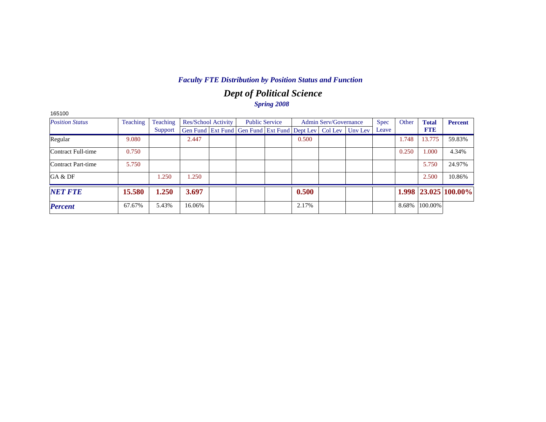## *Dept of Political Science Spring 2008*

| <b>Position Status</b> | Teaching | Teaching |        | <b>Res/School Activity</b> |                                                                  | <b>Public Service</b> |       | Admin Serv/Governance | <b>Spec</b> | Other | <b>Total</b> | <b>Percent</b>       |
|------------------------|----------|----------|--------|----------------------------|------------------------------------------------------------------|-----------------------|-------|-----------------------|-------------|-------|--------------|----------------------|
|                        |          | Support  |        |                            | Gen Fund Ext Fund Gen Fund Ext Fund Dept Lev   Col Lev   Unv Lev |                       |       |                       | Leave       |       | <b>FTE</b>   |                      |
| Regular                | 9.080    |          | 2.447  |                            |                                                                  |                       | 0.500 |                       |             | 1.748 | 13.775       | 59.83%               |
| Contract Full-time     | 0.750    |          |        |                            |                                                                  |                       |       |                       |             | 0.250 | 1.000        | 4.34%                |
| Contract Part-time     | 5.750    |          |        |                            |                                                                  |                       |       |                       |             |       | 5.750        | 24.97%               |
| GA & DF                |          | 1.250    | 1.250  |                            |                                                                  |                       |       |                       |             |       | 2.500        | 10.86%               |
| <b>NET FTE</b>         | 15.580   | 1.250    | 3.697  |                            |                                                                  |                       | 0.500 |                       |             |       |              | 1.998 23.025 100.00% |
| <b>Percent</b>         | 67.67%   | 5.43%    | 16.06% |                            |                                                                  |                       | 2.17% |                       |             | 8.68% | 100.00%      |                      |

165100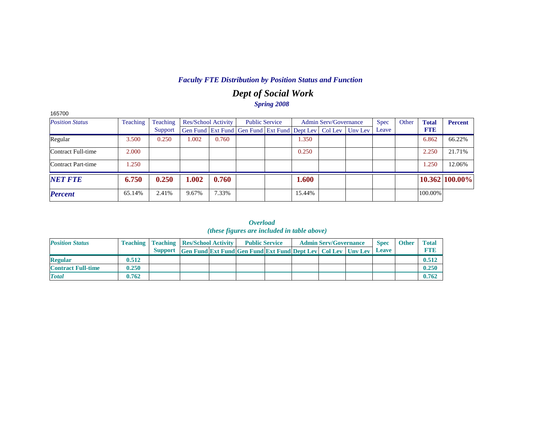## *Dept of Social Work Spring 2008*

| 165700                    |          |          |       |                            |                                                                          |        |                              |             |       |              |                |
|---------------------------|----------|----------|-------|----------------------------|--------------------------------------------------------------------------|--------|------------------------------|-------------|-------|--------------|----------------|
| <b>Position Status</b>    | Teaching | Teaching |       | <b>Res/School Activity</b> | <b>Public Service</b>                                                    |        | <b>Admin Serv/Governance</b> | <b>Spec</b> | Other | <b>Total</b> | <b>Percent</b> |
|                           |          | Support  |       |                            | Gen Fund   Ext Fund   Gen Fund   Ext Fund   Dept Lev   Col Lev   Unv Lev |        |                              | Leave       |       | <b>FTE</b>   |                |
| Regular                   | 3.500    | 0.250    | .002  | 0.760                      |                                                                          | 1.350  |                              |             |       | 6.862        | 66.22%         |
| Contract Full-time        | 2.000    |          |       |                            |                                                                          | 0.250  |                              |             |       | 2.250        | 21.71%         |
| <b>Contract Part-time</b> | .250     |          |       |                            |                                                                          |        |                              |             |       | 1.250        | 12.06%         |
| <b>NET FTE</b>            | 6.750    | 0.250    | 1.002 | 0.760                      |                                                                          | 1.600  |                              |             |       |              | 10.362 100.00% |
| <b>Percent</b>            | 65.14%   | 2.41%    | 9.67% | 7.33%                      |                                                                          | 15.44% |                              |             |       | 100.00%      |                |

*Overload (these figures are included in table above)*

| <b>Position Status</b>    |       |                                                                      | <b>Teaching   Teaching   Res/School Activity  </b> |  | <b>Public Service</b> | <b>Admin Serv/Governance</b> | <b>Spec</b> | <b>Other</b> | <b>Total</b> |
|---------------------------|-------|----------------------------------------------------------------------|----------------------------------------------------|--|-----------------------|------------------------------|-------------|--------------|--------------|
|                           |       | Support Gen Fund Ext Fund Gen Fund Ext Fund Dept Lev Col Lev Unv Lev |                                                    |  |                       |                              | Leave       |              |              |
| <b>Regular</b>            | 0.512 |                                                                      |                                                    |  |                       |                              |             |              | 0.512        |
| <b>Contract Full-time</b> | 0.250 |                                                                      |                                                    |  |                       |                              |             |              | 0.250        |
| <b>Total</b>              | 0.762 |                                                                      |                                                    |  |                       |                              |             |              | 0.762        |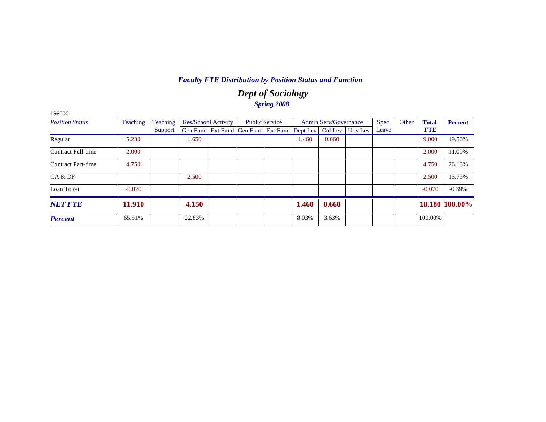## *Dept of Sociology Spring 2008*

| 166000                 |          |          |        |                            |                                                                          |       |                       |             |       |              |                |
|------------------------|----------|----------|--------|----------------------------|--------------------------------------------------------------------------|-------|-----------------------|-------------|-------|--------------|----------------|
| <b>Position Status</b> | Teaching | Teaching |        | <b>Res/School Activity</b> | <b>Public Service</b>                                                    |       | Admin Serv/Governance | <b>Spec</b> | Other | <b>Total</b> | <b>Percent</b> |
|                        |          | Support  |        |                            | Gen Fund   Ext Fund   Gen Fund   Ext Fund   Dept Lev   Col Lev   Unv Lev |       |                       | Leave       |       | <b>FTE</b>   |                |
| Regular                | 5.230    |          | 1.650  |                            |                                                                          | 1.460 | 0.660                 |             |       | 9.000        | 49.50%         |
| Contract Full-time     | 2.000    |          |        |                            |                                                                          |       |                       |             |       | 2.000        | 11.00%         |
| Contract Part-time     | 4.750    |          |        |                            |                                                                          |       |                       |             |       | 4.750        | 26.13%         |
| GA & DF                |          |          | 2.500  |                            |                                                                          |       |                       |             |       | 2.500        | 13.75%         |
| Loan To $(-)$          | $-0.070$ |          |        |                            |                                                                          |       |                       |             |       | $-0.070$     | $-0.39%$       |
| <b>NET FTE</b>         | 11.910   |          | 4.150  |                            |                                                                          | 1.460 | 0.660                 |             |       |              | 18.180 100.00% |
| <b>Percent</b>         | 65.51%   |          | 22.83% |                            |                                                                          | 8.03% | 3.63%                 |             |       | 100.00%      |                |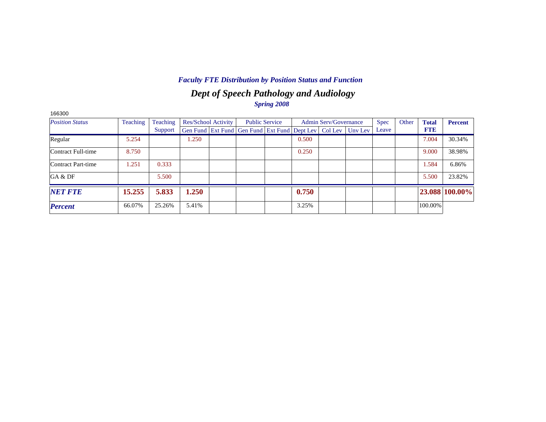## *Dept of Speech Pathology and Audiology Spring 2008*

| 166300                 |          |          |       |                            |                                                                |       |                              |         |             |       |              |                |
|------------------------|----------|----------|-------|----------------------------|----------------------------------------------------------------|-------|------------------------------|---------|-------------|-------|--------------|----------------|
| <b>Position Status</b> | Teaching | Teaching |       | <b>Res/School Activity</b> | <b>Public Service</b>                                          |       | <b>Admin Serv/Governance</b> |         | <b>Spec</b> | Other | <b>Total</b> | <b>Percent</b> |
|                        |          | Support  |       |                            | Gen Fund   Ext Fund   Gen Fund   Ext Fund   Dept Lev   Col Lev |       |                              | Unv Lev | Leave       |       | <b>FTE</b>   |                |
| Regular                | 5.254    |          | 1.250 |                            |                                                                | 0.500 |                              |         |             |       | 7.004        | 30.34%         |
| Contract Full-time     | 8.750    |          |       |                            |                                                                | 0.250 |                              |         |             |       | 9.000        | 38.98%         |
| Contract Part-time     | 1.251    | 0.333    |       |                            |                                                                |       |                              |         |             |       | 1.584        | 6.86%          |
| GA & DF                |          | 5.500    |       |                            |                                                                |       |                              |         |             |       | 5.500        | 23.82%         |
| <b>NET FTE</b>         | 15.255   | 5.833    | 1.250 |                            |                                                                | 0.750 |                              |         |             |       |              | 23.088 100.00% |
| <b>Percent</b>         | 66.07%   | 25.26%   | 5.41% |                            |                                                                | 3.25% |                              |         |             |       | 100.00%      |                |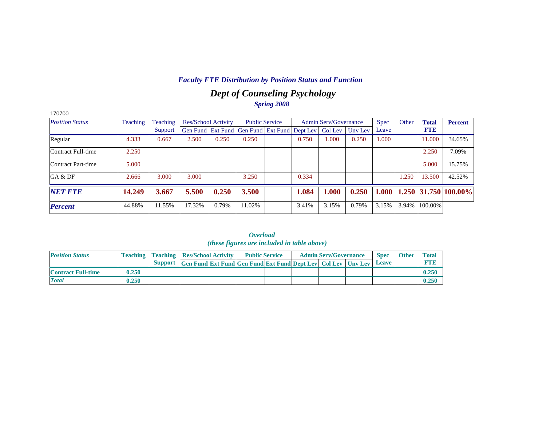## *Dept of Counseling Psychology Spring 2008*

| 170700                 |          |          |                     |       |                                                                |       |                              |         |             |       |              |                        |
|------------------------|----------|----------|---------------------|-------|----------------------------------------------------------------|-------|------------------------------|---------|-------------|-------|--------------|------------------------|
| <b>Position Status</b> | Teaching | Teaching | Res/School Activity |       | <b>Public Service</b>                                          |       | <b>Admin Serv/Governance</b> |         | <b>Spec</b> | Other | <b>Total</b> | <b>Percent</b>         |
|                        |          | Support  |                     |       | Gen Fund   Ext Fund   Gen Fund   Ext Fund   Dept Lev   Col Lev |       |                              | Unv Lev | Leave       |       | <b>FTE</b>   |                        |
| Regular                | 4.333    | 0.667    | 2.500               | 0.250 | 0.250                                                          | 0.750 | 1.000                        | 0.250   | 1.000       |       | 11.000       | 34.65%                 |
| Contract Full-time     | 2.250    |          |                     |       |                                                                |       |                              |         |             |       | 2.250        | 7.09%                  |
| Contract Part-time     | 5.000    |          |                     |       |                                                                |       |                              |         |             |       | 5.000        | 15.75%                 |
| GA & DF                | 2.666    | 3.000    | 3.000               |       | 3.250                                                          | 0.334 |                              |         |             | 1.250 | 13.500       | 42.52%                 |
| <b>NET FTE</b>         | 14.249   | 3.667    | 5.500               | 0.250 | 3.500                                                          | 1.084 | 1.000                        | 0.250   | 1.000       |       |              | $1.250$ 31.750 100.00% |
| <b>Percent</b>         | 44.88%   | 11.55%   | 17.32%              | 0.79% | 11.02%                                                         | 3.41% | 3.15%                        | 0.79%   | 3.15%       | 3.94% | 100.00%      |                        |

|                           |       |                                                    |                                                                      | <i>(these figures are included in table above)</i> |  |                              |              |              |              |
|---------------------------|-------|----------------------------------------------------|----------------------------------------------------------------------|----------------------------------------------------|--|------------------------------|--------------|--------------|--------------|
| <b>Position Status</b>    |       | <b>Teaching   Teaching   Res/School Activity  </b> |                                                                      | <b>Public Service</b>                              |  | <b>Admin Serv/Governance</b> | <b>Spec</b>  | <b>Other</b> | <b>Total</b> |
|                           |       |                                                    | Support Gen Fund Ext Fund Gen Fund Ext Fund Dept Lev Col Lev Unv Lev |                                                    |  |                              | <b>Leave</b> |              | <b>FTB</b>   |
| <b>Contract Full-time</b> | 0.250 |                                                    |                                                                      |                                                    |  |                              |              |              | 0.250        |
| <b>Total</b>              | 0.250 |                                                    |                                                                      |                                                    |  |                              |              |              | 0.250        |

*Overload*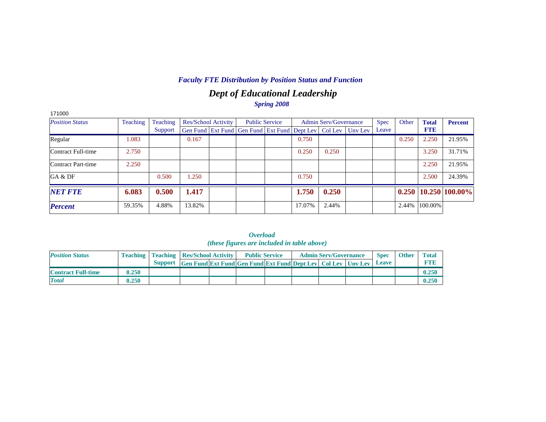## *Dept of Educational Leadership Spring 2008*

| 171000                 |          |          |                            |                                                                          |        |                              |             |       |              |                |
|------------------------|----------|----------|----------------------------|--------------------------------------------------------------------------|--------|------------------------------|-------------|-------|--------------|----------------|
| <b>Position Status</b> | Teaching | Teaching | <b>Res/School Activity</b> | <b>Public Service</b>                                                    |        | <b>Admin Serv/Governance</b> | <b>Spec</b> | Other | <b>Total</b> | <b>Percent</b> |
|                        |          | Support  |                            | Gen Fund   Ext Fund   Gen Fund   Ext Fund   Dept Lev   Col Lev   Unv Lev |        |                              | Leave       |       | <b>FTE</b>   |                |
| Regular                | 1.083    |          | 0.167                      |                                                                          | 0.750  |                              |             | 0.250 | 2.250        | 21.95%         |
| Contract Full-time     | 2.750    |          |                            |                                                                          | 0.250  | 0.250                        |             |       | 3.250        | 31.71%         |
| Contract Part-time     | 2.250    |          |                            |                                                                          |        |                              |             |       | 2.250        | 21.95%         |
| GA & DF                |          | 0.500    | 1.250                      |                                                                          | 0.750  |                              |             |       | 2.500        | 24.39%         |
| <b>NET FTE</b>         | 6.083    | 0.500    | 1.417                      |                                                                          | 1.750  | 0.250                        |             | 0.250 |              | 10.250 100.00% |
| <b>Percent</b>         | 59.35%   | 4.88%    | 13.82%                     |                                                                          | 17.07% | 2.44%                        |             | 2.44% | 100.00%      |                |

|                           |       |                                                    |                                                                           | ,,,,,,,,,,,<br><i>(these figures are included in table above)</i> |  |                              |             |              |              |
|---------------------------|-------|----------------------------------------------------|---------------------------------------------------------------------------|-------------------------------------------------------------------|--|------------------------------|-------------|--------------|--------------|
| <b>Position Status</b>    |       | <b>Teaching   Teaching   Res/School Activity  </b> |                                                                           | <b>Public Service</b>                                             |  | <b>Admin Serv/Governance</b> | <b>Spec</b> | <b>Other</b> | <b>Total</b> |
|                           |       | <b>Support</b>                                     | <b>Gen Fund Ext Fund Gen Fund Ext Fund Dept Lev   Col Lev   Unv Lev  </b> |                                                                   |  |                              | Leave       |              | <b>FTB</b>   |
| <b>Contract Full-time</b> | 0.250 |                                                    |                                                                           |                                                                   |  |                              |             |              | 0.250        |
| <b>Total</b>              | 0.250 |                                                    |                                                                           |                                                                   |  |                              |             |              | 0.250        |

*Overload*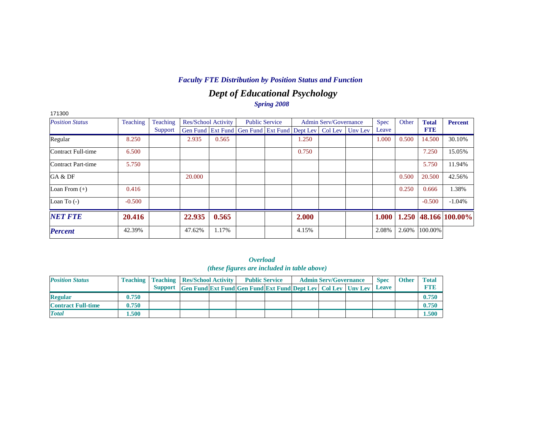## *Dept of Educational Psychology Spring 2008*

| 171300                 |          |          |        |                     |                                                                |                       |       |                              |         |             |       |              |                      |
|------------------------|----------|----------|--------|---------------------|----------------------------------------------------------------|-----------------------|-------|------------------------------|---------|-------------|-------|--------------|----------------------|
| <b>Position Status</b> | Teaching | Teaching |        | Res/School Activity |                                                                | <b>Public Service</b> |       | <b>Admin Serv/Governance</b> |         | <b>Spec</b> | Other | <b>Total</b> | <b>Percent</b>       |
|                        |          | Support  |        |                     | Gen Fund   Ext Fund   Gen Fund   Ext Fund   Dept Lev   Col Lev |                       |       |                              | Unv Lev | Leave       |       | <b>FTE</b>   |                      |
| Regular                | 8.250    |          | 2.935  | 0.565               |                                                                |                       | 1.250 |                              |         | 1.000       | 0.500 | 14.500       | 30.10%               |
| Contract Full-time     | 6.500    |          |        |                     |                                                                |                       | 0.750 |                              |         |             |       | 7.250        | 15.05%               |
| Contract Part-time     | 5.750    |          |        |                     |                                                                |                       |       |                              |         |             |       | 5.750        | 11.94%               |
| GA & DF                |          |          | 20.000 |                     |                                                                |                       |       |                              |         |             | 0.500 | 20.500       | 42.56%               |
| Loan From $(+)$        | 0.416    |          |        |                     |                                                                |                       |       |                              |         |             | 0.250 | 0.666        | 1.38%                |
| Loan To $(-)$          | $-0.500$ |          |        |                     |                                                                |                       |       |                              |         |             |       | $-0.500$     | $-1.04%$             |
| <b>NET FTE</b>         | 20.416   |          | 22.935 | 0.565               |                                                                |                       | 2.000 |                              |         | 1.000       |       |              | 1.250 48.166 100.00% |
| <b>Percent</b>         | 42.39%   |          | 47.62% | 1.17%               |                                                                |                       | 4.15% |                              |         | 2.08%       | 2.60% | 100.00%      |                      |

*Overload (these figures are included in table above)*

| <b>Position Status</b>    |       |                                                                      | <b>Teaching   Teaching   Res/School Activity  </b> |  | <b>Public Service</b> | <b>Admin Serv/Governance</b> | <b>Spec</b>  | <b>Other</b> | <b>Total</b> |
|---------------------------|-------|----------------------------------------------------------------------|----------------------------------------------------|--|-----------------------|------------------------------|--------------|--------------|--------------|
|                           |       | Support Gen Fund Ext Fund Gen Fund Ext Fund Dept Lev Col Lev Unv Lev |                                                    |  |                       |                              | <b>Leave</b> |              | <b>ETTE</b>  |
| <b>Regular</b>            | 0.750 |                                                                      |                                                    |  |                       |                              |              |              | 0.750        |
| <b>Contract Full-time</b> | 0.750 |                                                                      |                                                    |  |                       |                              |              |              | 0.750        |
| <b>Total</b>              | .500  |                                                                      |                                                    |  |                       |                              |              |              | 1.500        |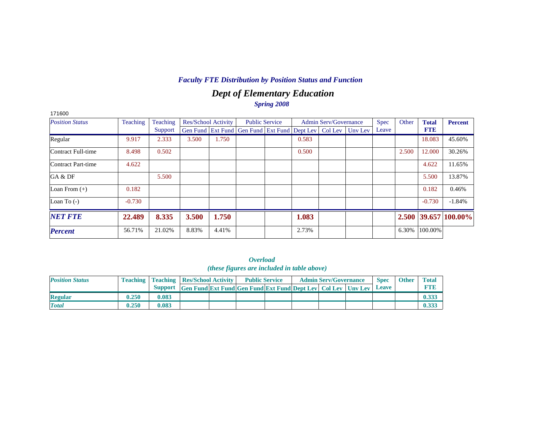## *Dept of Elementary Education Spring 2008*

| 171600                 |          |                 |                     |       |                                                                |                       |       |                              |         |             |       |              |                      |
|------------------------|----------|-----------------|---------------------|-------|----------------------------------------------------------------|-----------------------|-------|------------------------------|---------|-------------|-------|--------------|----------------------|
| <b>Position Status</b> | Teaching | <b>Teaching</b> | Res/School Activity |       |                                                                | <b>Public Service</b> |       | <b>Admin Serv/Governance</b> |         | <b>Spec</b> | Other | <b>Total</b> | Percent              |
|                        |          | Support         |                     |       | Gen Fund   Ext Fund   Gen Fund   Ext Fund   Dept Lev   Col Lev |                       |       |                              | Unv Lev | Leave       |       | <b>FTE</b>   |                      |
| Regular                | 9.917    | 2.333           | 3.500               | 1.750 |                                                                |                       | 0.583 |                              |         |             |       | 18.083       | 45.60%               |
| Contract Full-time     | 8.498    | 0.502           |                     |       |                                                                |                       | 0.500 |                              |         |             | 2.500 | 12.000       | 30.26%               |
| Contract Part-time     | 4.622    |                 |                     |       |                                                                |                       |       |                              |         |             |       | 4.622        | 11.65%               |
| GA & DF                |          | 5.500           |                     |       |                                                                |                       |       |                              |         |             |       | 5.500        | 13.87%               |
| Loan From $(+)$        | 0.182    |                 |                     |       |                                                                |                       |       |                              |         |             |       | 0.182        | 0.46%                |
| Loan To $(-)$          | $-0.730$ |                 |                     |       |                                                                |                       |       |                              |         |             |       | $-0.730$     | $-1.84%$             |
| <b>NET FTE</b>         | 22.489   | 8.335           | 3.500               | 1.750 |                                                                |                       | 1.083 |                              |         |             |       |              | 2.500 39.657 100.00% |
| <b>Percent</b>         | 56.71%   | 21.02%          | 8.83%               | 4.41% |                                                                |                       | 2.73% |                              |         |             | 6.30% | 100.00%      |                      |

| <i><b>Overload</b></i>                      |  |  |  |  |  |  |  |  |  |  |  |  |
|---------------------------------------------|--|--|--|--|--|--|--|--|--|--|--|--|
| (these figures are included in table above) |  |  |  |  |  |  |  |  |  |  |  |  |

| <b>Position Status</b> |       |       | <b>Teaching   Teaching   Res/School Activity  </b>                   |  | <b>Public Service</b> |  | <b>Admin Serv/Governance</b> | <b>Spec</b> | <b>Other</b> | <b>Total</b> |
|------------------------|-------|-------|----------------------------------------------------------------------|--|-----------------------|--|------------------------------|-------------|--------------|--------------|
|                        |       |       | Support Gen Fund Ext Fund Gen Fund Ext Fund Dept Lev Col Lev Unv Lev |  |                       |  |                              | Leave       |              |              |
| <b>Regular</b>         | 0.250 | 0.083 |                                                                      |  |                       |  |                              |             |              |              |
| <b>Total</b>           | 0.250 | 0.083 |                                                                      |  |                       |  |                              |             |              |              |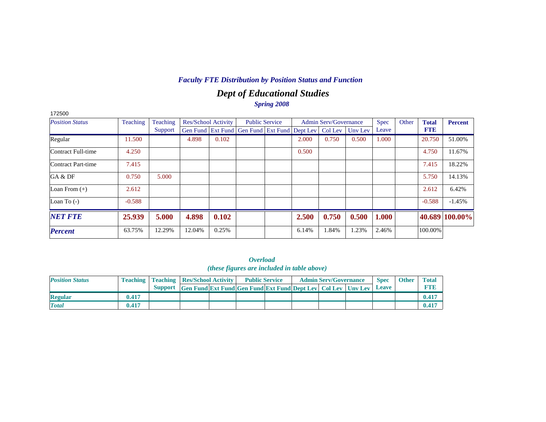## *Dept of Educational Studies Spring 2008*

| 172500                 |                 |          |                            |       |                                                                |                       |       |                              |         |             |       |              |                |
|------------------------|-----------------|----------|----------------------------|-------|----------------------------------------------------------------|-----------------------|-------|------------------------------|---------|-------------|-------|--------------|----------------|
| <b>Position Status</b> | <b>Teaching</b> | Teaching | <b>Res/School Activity</b> |       |                                                                | <b>Public Service</b> |       | <b>Admin Serv/Governance</b> |         | <b>Spec</b> | Other | <b>Total</b> | <b>Percent</b> |
|                        |                 | Support  |                            |       | Gen Fund   Ext Fund   Gen Fund   Ext Fund   Dept Lev   Col Lev |                       |       |                              | Unv Lev | Leave       |       | <b>FTE</b>   |                |
| Regular                | 11.500          |          | 4.898                      | 0.102 |                                                                |                       | 2.000 | 0.750                        | 0.500   | 1.000       |       | 20.750       | 51.00%         |
| Contract Full-time     | 4.250           |          |                            |       |                                                                |                       | 0.500 |                              |         |             |       | 4.750        | 11.67%         |
| Contract Part-time     | 7.415           |          |                            |       |                                                                |                       |       |                              |         |             |       | 7.415        | 18.22%         |
| GA & DF                | 0.750           | 5.000    |                            |       |                                                                |                       |       |                              |         |             |       | 5.750        | 14.13%         |
| Loan From $(+)$        | 2.612           |          |                            |       |                                                                |                       |       |                              |         |             |       | 2.612        | 6.42%          |
| Loan To $(-)$          | $-0.588$        |          |                            |       |                                                                |                       |       |                              |         |             |       | $-0.588$     | $-1.45%$       |
| <b>NET FTE</b>         | 25.939          | 5.000    | 4.898                      | 0.102 |                                                                |                       | 2.500 | 0.750                        | 0.500   | 1.000       |       |              | 40.689 100.00% |
| <b>Percent</b>         | 63.75%          | 12.29%   | 12.04%                     | 0.25% |                                                                |                       | 6.14% | 1.84%                        | 1.23%   | 2.46%       |       | 100.00%      |                |

*Overload (these figures are included in table above)*

| <b>Position Status</b> |       | <b>Teaching   Teaching   Res/School Activity  </b>                       |  | <b>Public Service</b> |  | <b>Admin Serv/Governance</b> | <b>Spec</b> | <b>Other</b> | <b>Total</b> |
|------------------------|-------|--------------------------------------------------------------------------|--|-----------------------|--|------------------------------|-------------|--------------|--------------|
|                        |       | Support Gen Fund Ext Fund Gen Fund Ext Fund Dept Lev   Col Lev   Unv Lev |  |                       |  |                              | Leave       |              |              |
| <b>Regular</b>         | 0.417 |                                                                          |  |                       |  |                              |             |              | 0.41         |
| <b>Total</b>           | 0.417 |                                                                          |  |                       |  |                              |             |              | 0.41         |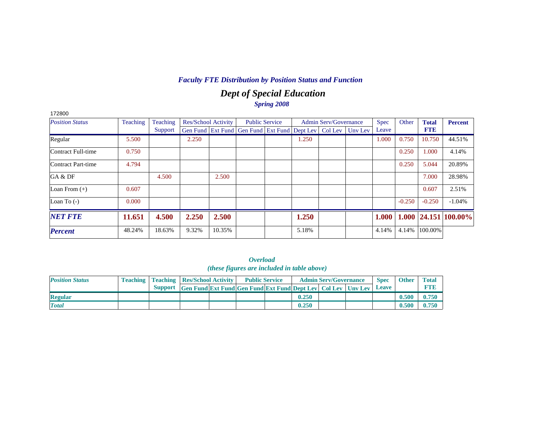## *Dept of Special Education Spring 2008*

| 172800                 |          |          |       |                            |                                                                  |                       |       |                              |             |          |              |                            |
|------------------------|----------|----------|-------|----------------------------|------------------------------------------------------------------|-----------------------|-------|------------------------------|-------------|----------|--------------|----------------------------|
| <b>Position Status</b> | Teaching | Teaching |       | <b>Res/School Activity</b> |                                                                  | <b>Public Service</b> |       | <b>Admin Serv/Governance</b> | <b>Spec</b> | Other    | <b>Total</b> | <b>Percent</b>             |
|                        |          | Support  |       |                            | Gen Fund Ext Fund Gen Fund Ext Fund Dept Lev   Col Lev   Unv Lev |                       |       |                              | Leave       |          | <b>FTE</b>   |                            |
| Regular                | 5.500    |          | 2.250 |                            |                                                                  |                       | 1.250 |                              | 1.000       | 0.750    | 10.750       | 44.51%                     |
| Contract Full-time     | 0.750    |          |       |                            |                                                                  |                       |       |                              |             | 0.250    | 1.000        | 4.14%                      |
| Contract Part-time     | 4.794    |          |       |                            |                                                                  |                       |       |                              |             | 0.250    | 5.044        | 20.89%                     |
| GA & DF                |          | 4.500    |       | 2.500                      |                                                                  |                       |       |                              |             |          | 7.000        | 28.98%                     |
| Loan From $(+)$        | 0.607    |          |       |                            |                                                                  |                       |       |                              |             |          | 0.607        | 2.51%                      |
| Loan To $(-)$          | 0.000    |          |       |                            |                                                                  |                       |       |                              |             | $-0.250$ | $-0.250$     | $-1.04%$                   |
| <b>NET FTE</b>         | 11.651   | 4.500    | 2.250 | 2.500                      |                                                                  |                       | 1.250 |                              | 1.000       |          |              | $1.000$   24.151   100.00% |
| <b>Percent</b>         | 48.24%   | 18.63%   | 9.32% | 10.35%                     |                                                                  |                       | 5.18% |                              | 4.14%       | 4.14%    | 100.00%      |                            |

| <i><b>Overload</b></i>                      |  |  |  |  |  |  |  |  |  |  |  |  |
|---------------------------------------------|--|--|--|--|--|--|--|--|--|--|--|--|
| (these figures are included in table above) |  |  |  |  |  |  |  |  |  |  |  |  |

| <b>Position Status</b> |                | <b>Teaching   Teaching   Res/School Activity  </b>                      |  | <b>Public Service</b> |       | <b>Admin Serv/Governance</b> | <b>Spec</b> | <b>Other</b> | <b>Total</b> |
|------------------------|----------------|-------------------------------------------------------------------------|--|-----------------------|-------|------------------------------|-------------|--------------|--------------|
|                        | <b>Support</b> | <b>Gen Fund Ext Fund Gen Fund Ext Fund Dept Lev   Col Lev   Unv Lev</b> |  |                       |       |                              | Leave       |              |              |
| <b>Regular</b>         |                |                                                                         |  |                       | 0.250 |                              |             | 0.500        | 0.750        |
| <b>Total</b>           |                |                                                                         |  |                       | 0.250 |                              |             | 0.500        | 0.750        |